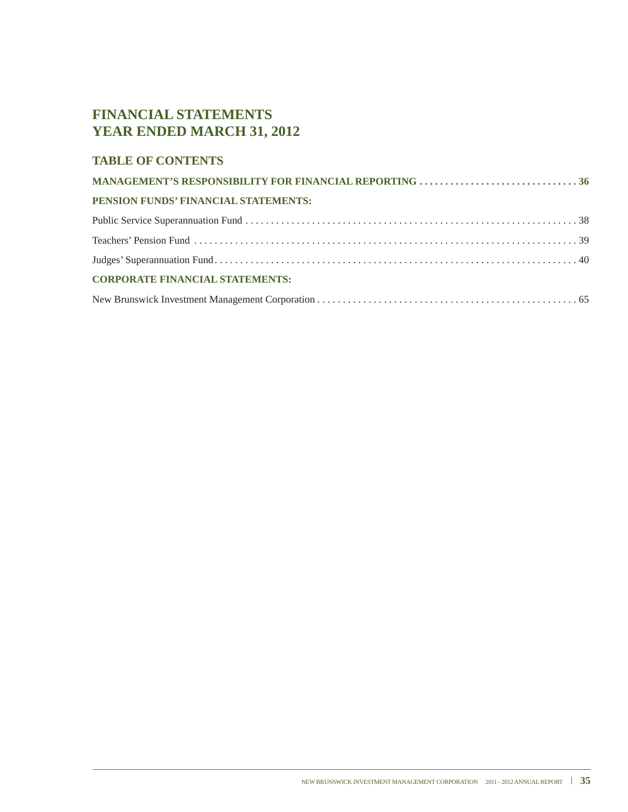# **FINANCIAL STATEMENTS YEAR ENDED MARCH 31, 2012**

## **TABLE OF CONTENTS**

| MANAGEMENT'S RESPONSIBILITY FOR FINANCIAL REPORTING 36 |  |
|--------------------------------------------------------|--|
| PENSION FUNDS' FINANCIAL STATEMENTS:                   |  |
|                                                        |  |
|                                                        |  |
|                                                        |  |
| <b>CORPORATE FINANCIAL STATEMENTS:</b>                 |  |
|                                                        |  |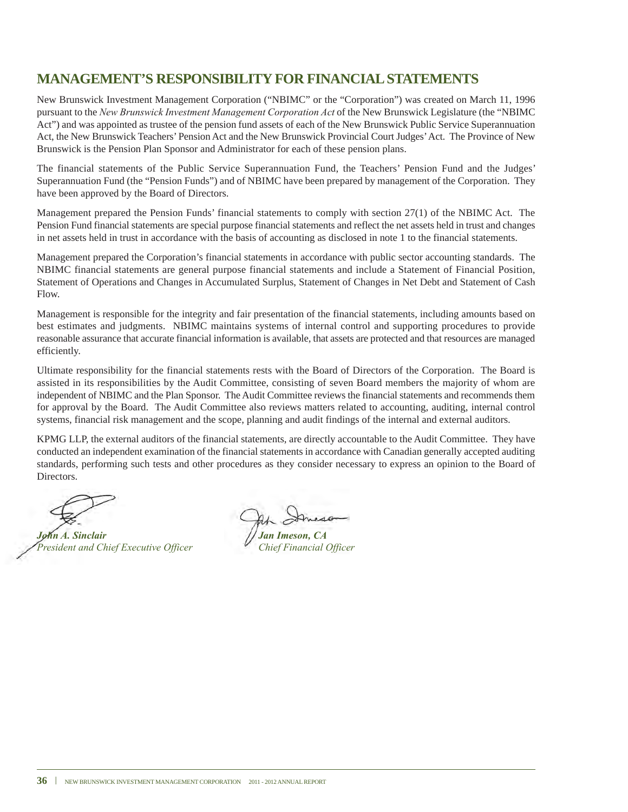# **MANAGEMENT'S RESPONSIBILITY FOR FINANCIAL STATEMENTS**

New Brunswick Investment Management Corporation ("NBIMC" or the "Corporation") was created on March 11, 1996 pursuant to the *New Brunswick Investment Management Corporation Act* of the New Brunswick Legislature (the "NBIMC Act") and was appointed as trustee of the pension fund assets of each of the New Brunswick Public Service Superannuation Act, the New Brunswick Teachers' Pension Act and the New Brunswick Provincial Court Judges'Act. The Province of New Brunswick is the Pension Plan Sponsor and Administrator for each of these pension plans.

The financial statements of the Public Service Superannuation Fund, the Teachers' Pension Fund and the Judges' Superannuation Fund (the "Pension Funds") and of NBIMC have been prepared by management of the Corporation. They have been approved by the Board of Directors.

Management prepared the Pension Funds' financial statements to comply with section 27(1) of the NBIMC Act. The Pension Fund financial statements are special purpose financial statements and reflect the net assets held in trust and changes in net assets held in trust in accordance with the basis of accounting as disclosed in note 1 to the financial statements.

Management prepared the Corporation's financial statements in accordance with public sector accounting standards. The NBIMC financial statements are general purpose financial statements and include a Statement of Financial Position, Statement of Operations and Changes in Accumulated Surplus, Statement of Changes in Net Debt and Statement of Cash Flow.

Management is responsible for the integrity and fair presentation of the financial statements, including amounts based on best estimates and judgments. NBIMC maintains systems of internal control and supporting procedures to provide reasonable assurance that accurate financial information is available, that assets are protected and that resources are managed efficiently.

Ultimate responsibility for the financial statements rests with the Board of Directors of the Corporation. The Board is assisted in its responsibilities by the Audit Committee, consisting of seven Board members the majority of whom are independent of NBIMC and the Plan Sponsor. The Audit Committee reviews the financial statements and recommends them for approval by the Board. The Audit Committee also reviews matters related to accounting, auditing, internal control systems, financial risk management and the scope, planning and audit findings of the internal and external auditors.

KPMG LLP, the external auditors of the financial statements, are directly accountable to the Audit Committee. They have conducted an independent examination of the financial statements in accordance with Canadian generally accepted auditing standards, performing such tests and other procedures as they consider necessary to express an opinion to the Board of Directors.

*<i>John A. Sinclair John A. Sinclair John A. Sinclair John A. Sinclair John A. Sinclair John A. Sinclair John A. Sinclair John A. Sinclair John A. Sinclair John A. Sinclair John A. Sinclair John A. Sin President and Chief Executive Officer Chief Financial Officer*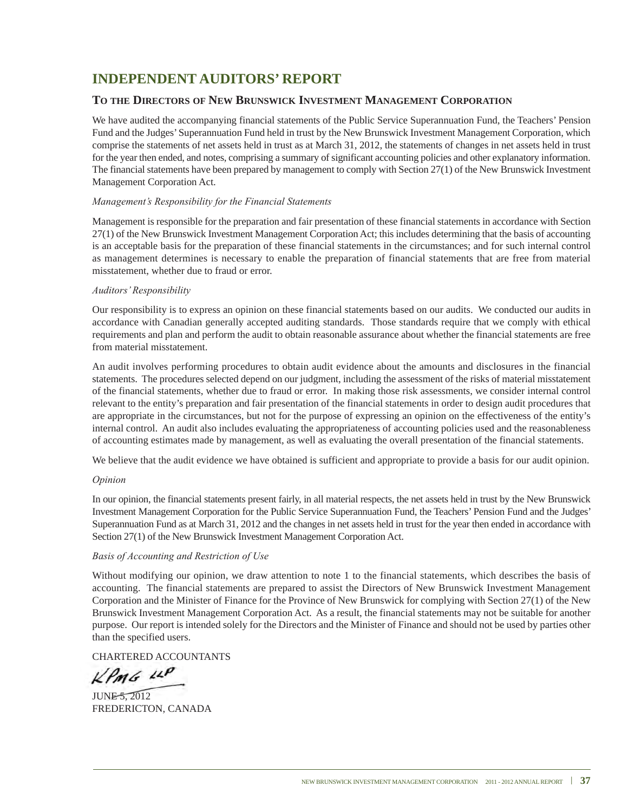# **INDEPENDENT AUDITORS' REPORT**

## **TO THE DIRECTORS OF NEW BRUNSWICK INVESTMENT MANAGEMENT CORPORATION**

We have audited the accompanying financial statements of the Public Service Superannuation Fund, the Teachers' Pension Fund and the Judges' Superannuation Fund held in trust by the New Brunswick Investment Management Corporation, which comprise the statements of net assets held in trust as at March 31, 2012, the statements of changes in net assets held in trust for the year then ended, and notes, comprising a summary of significant accounting policies and other explanatory information. The financial statements have been prepared by management to comply with Section 27(1) of the New Brunswick Investment Management Corporation Act.

#### *Management's Responsibility for the Financial Statements*

Management is responsible for the preparation and fair presentation of these financial statements in accordance with Section 27(1) of the New Brunswick Investment Management Corporation Act; this includes determining that the basis of accounting is an acceptable basis for the preparation of these financial statements in the circumstances; and for such internal control as management determines is necessary to enable the preparation of financial statements that are free from material misstatement, whether due to fraud or error.

#### *Auditors' Responsibility*

Our responsibility is to express an opinion on these financial statements based on our audits. We conducted our audits in accordance with Canadian generally accepted auditing standards. Those standards require that we comply with ethical requirements and plan and perform the audit to obtain reasonable assurance about whether the financial statements are free from material misstatement.

An audit involves performing procedures to obtain audit evidence about the amounts and disclosures in the financial statements. The procedures selected depend on our judgment, including the assessment of the risks of material misstatement of the financial statements, whether due to fraud or error. In making those risk assessments, we consider internal control relevant to the entity's preparation and fair presentation of the financial statements in order to design audit procedures that are appropriate in the circumstances, but not for the purpose of expressing an opinion on the effectiveness of the entity's internal control. An audit also includes evaluating the appropriateness of accounting policies used and the reasonableness of accounting estimates made by management, as well as evaluating the overall presentation of the financial statements.

We believe that the audit evidence we have obtained is sufficient and appropriate to provide a basis for our audit opinion.

## *Opinion*

In our opinion, the financial statements present fairly, in all material respects, the net assets held in trust by the New Brunswick Investment Management Corporation for the Public Service Superannuation Fund, the Teachers' Pension Fund and the Judges' Superannuation Fund as at March 31, 2012 and the changes in net assets held in trust for the year then ended in accordance with Section 27(1) of the New Brunswick Investment Management Corporation Act.

## *Basis of Accounting and Restriction of Use*

Without modifying our opinion, we draw attention to note 1 to the financial statements, which describes the basis of accounting. The financial statements are prepared to assist the Directors of New Brunswick Investment Management Corporation and the Minister of Finance for the Province of New Brunswick for complying with Section 27(1) of the New Brunswick Investment Management Corporation Act. As a result, the financial statements may not be suitable for another purpose. Our report is intended solely for the Directors and the Minister of Finance and should not be used by parties other than the specified users.

## CHARTERED ACCOUNTANTS

 $\n *l*$ 

JUNE 5, 2012 FREDERICTON, CANADA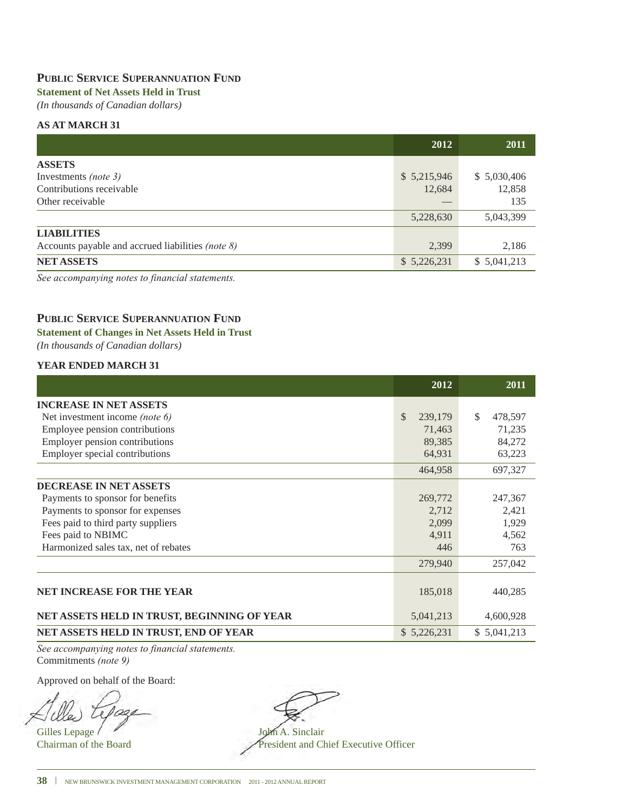## **PUBLIC SERVICE SUPERANNUATION FUND**

## **Statement of Net Assets Held in Trust**

*(In thousands of Canadian dollars)*

## **AS AT MARCH 31**

|                                                   | 2012        | 2011         |
|---------------------------------------------------|-------------|--------------|
| <b>ASSETS</b>                                     |             |              |
| Investments (note 3)                              | \$5,215,946 | \$ 5,030,406 |
| Contributions receivable                          | 12,684      | 12,858       |
| Other receivable                                  |             | 135          |
|                                                   | 5,228,630   | 5,043,399    |
| <b>LIABILITIES</b>                                |             |              |
| Accounts payable and accrued liabilities (note 8) | 2,399       | 2,186        |
| <b>NET ASSETS</b>                                 | \$5,226,231 | \$5,041,213  |

*See accompanying notes to financial statements.*

## **PUBLIC SERVICE SUPERANNUATION FUND**

## **Statement of Changes in Net Assets Held in Trust**

*(In thousands of Canadian dollars)*

#### **YEAR ENDED MARCH 31**

|                                             | 2012                    | 2011          |
|---------------------------------------------|-------------------------|---------------|
| <b>INCREASE IN NET ASSETS</b>               |                         |               |
| Net investment income <i>(note 6)</i>       | $\mathbb{S}$<br>239,179 | \$<br>478,597 |
| Employee pension contributions              | 71,463                  | 71,235        |
| Employer pension contributions              | 89,385                  | 84,272        |
| Employer special contributions              | 64,931                  | 63,223        |
|                                             | 464,958                 | 697,327       |
| <b>DECREASE IN NET ASSETS</b>               |                         |               |
| Payments to sponsor for benefits            | 269,772                 | 247,367       |
| Payments to sponsor for expenses            | 2,712                   | 2,421         |
| Fees paid to third party suppliers          | 2,099                   | 1,929         |
| Fees paid to NBIMC                          | 4,911                   | 4,562         |
| Harmonized sales tax, net of rebates        | 446                     | 763           |
|                                             | 279,940                 | 257,042       |
|                                             |                         |               |
| <b>NET INCREASE FOR THE YEAR</b>            | 185,018                 | 440,285       |
| NET ASSETS HELD IN TRUST, BEGINNING OF YEAR | 5,041,213               | 4,600,928     |
| NET ASSETS HELD IN TRUST, END OF YEAR       | \$5,226,231             | \$ 5,041,213  |

*See accompanying notes to financial statements.* Commitments *(note 9)*

Approved on behalf of the Board:

telage

Gilles Lepage / John A. Sinclair

Chairman of the Board President and Chief Executive Officer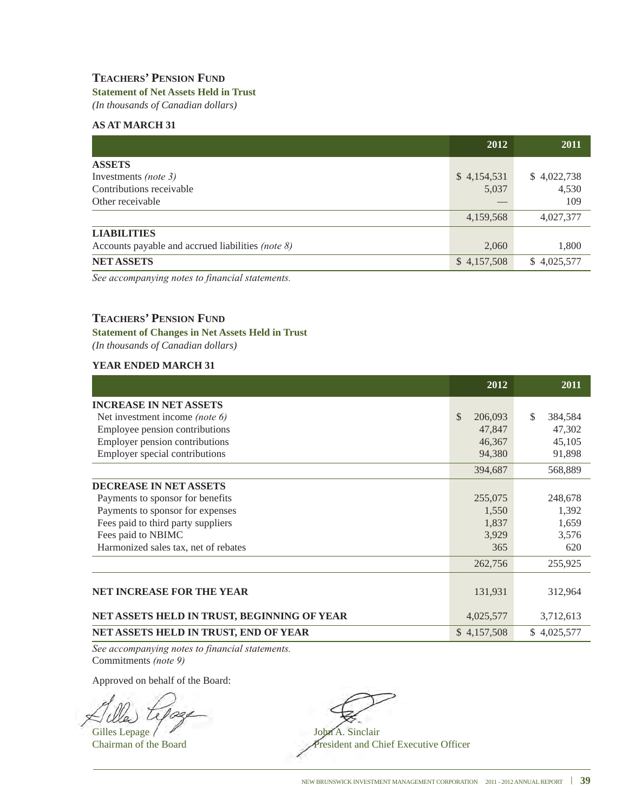## **TEACHERS' PENSION FUND**

## **Statement of Net Assets Held in Trust**

*(In thousands of Canadian dollars)*

## **AS AT MARCH 31**

|                                                   | 2012        | 2011        |
|---------------------------------------------------|-------------|-------------|
| <b>ASSETS</b>                                     |             |             |
| Investments (note 3)                              | \$4,154,531 | \$4,022,738 |
| Contributions receivable                          | 5,037       | 4,530       |
| Other receivable                                  |             | 109         |
|                                                   | 4,159,568   | 4,027,377   |
| <b>LIABILITIES</b>                                |             |             |
| Accounts payable and accrued liabilities (note 8) | 2,060       | 1,800       |
| <b>NET ASSETS</b>                                 | \$4,157,508 | \$4,025,577 |

*See accompanying notes to financial statements.*

## **TEACHERS' PENSION FUND**

## **Statement of Changes in Net Assets Held in Trust**

*(In thousands of Canadian dollars)*

#### **YEAR ENDED MARCH 31**

|                                             | 2012          | 2011          |
|---------------------------------------------|---------------|---------------|
| <b>INCREASE IN NET ASSETS</b>               |               |               |
| Net investment income (note 6)              | \$<br>206,093 | \$<br>384,584 |
| Employee pension contributions              | 47,847        | 47,302        |
| Employer pension contributions              | 46,367        | 45,105        |
| Employer special contributions              | 94,380        | 91,898        |
|                                             | 394,687       | 568,889       |
| <b>DECREASE IN NET ASSETS</b>               |               |               |
| Payments to sponsor for benefits            | 255,075       | 248,678       |
| Payments to sponsor for expenses            | 1,550         | 1,392         |
| Fees paid to third party suppliers          | 1,837         | 1,659         |
| Fees paid to NBIMC                          | 3,929         | 3,576         |
| Harmonized sales tax, net of rebates        | 365           | 620           |
|                                             | 262,756       | 255,925       |
|                                             |               |               |
| <b>NET INCREASE FOR THE YEAR</b>            | 131,931       | 312,964       |
| NET ASSETS HELD IN TRUST, BEGINNING OF YEAR | 4,025,577     | 3,712,613     |
| NET ASSETS HELD IN TRUST, END OF YEAR       | \$4,157,508   | \$4,025,577   |

*See accompanying notes to financial statements.* Commitments *(note 9)*

Approved on behalf of the Board:

Felage

Gilles Lepage / John A. Sinclair<br>Chairman of the Board<br>President and Ch President and Chief Executive Officer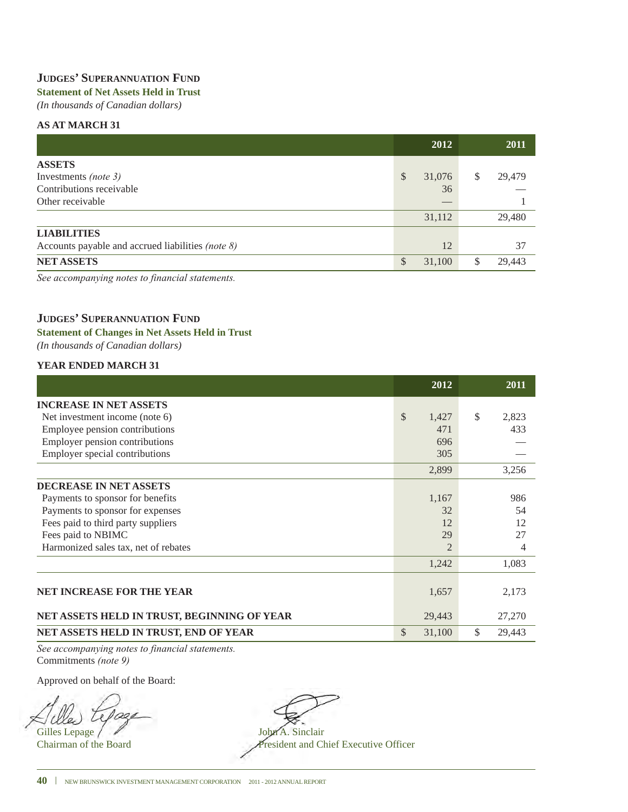## **JUDGES' SUPERANNUATION FUND**

## **Statement of Net Assets Held in Trust**

*(In thousands of Canadian dollars)*

## **AS AT MARCH 31**

|                                                   | 2012         |    | 2011   |
|---------------------------------------------------|--------------|----|--------|
| <b>ASSETS</b>                                     |              |    |        |
| Investments (note 3)                              | \$<br>31,076 | \$ | 29,479 |
| Contributions receivable                          | 36           |    |        |
| Other receivable                                  | __           |    |        |
|                                                   | 31,112       |    | 29,480 |
| <b>LIABILITIES</b>                                |              |    |        |
| Accounts payable and accrued liabilities (note 8) | 12           |    | 37     |
| <b>NET ASSETS</b>                                 | \$<br>31,100 | S  | 29,443 |

*See accompanying notes to financial statements.*

## **JUDGES' SUPERANNUATION FUND**

## **Statement of Changes in Net Assets Held in Trust**

*(In thousands of Canadian dollars)*

#### **YEAR ENDED MARCH 31**

|                                             | 2012                    | 2011         |
|---------------------------------------------|-------------------------|--------------|
| <b>INCREASE IN NET ASSETS</b>               |                         |              |
| Net investment income (note 6)              | $\mathbb{S}$<br>1,427   | \$<br>2,823  |
| Employee pension contributions              | 471                     | 433          |
| Employer pension contributions              | 696                     |              |
| Employer special contributions              | 305                     |              |
|                                             | 2,899                   | 3,256        |
| <b>DECREASE IN NET ASSETS</b>               |                         |              |
| Payments to sponsor for benefits            | 1,167                   | 986          |
| Payments to sponsor for expenses            | 32                      | 54           |
| Fees paid to third party suppliers          | 12                      | 12           |
| Fees paid to NBIMC                          | 29                      | 27           |
| Harmonized sales tax, net of rebates        | $\overline{2}$          | 4            |
|                                             | 1,242                   | 1,083        |
|                                             |                         |              |
| <b>NET INCREASE FOR THE YEAR</b>            | 1,657                   | 2,173        |
| NET ASSETS HELD IN TRUST, BEGINNING OF YEAR | 29,443                  | 27,270       |
| NET ASSETS HELD IN TRUST, END OF YEAR       | $\mathcal{S}$<br>31,100 | \$<br>29,443 |

*See accompanying notes to financial statements.* Commitments *(note 9)*

Approved on behalf of the Board:

tepage Ve.

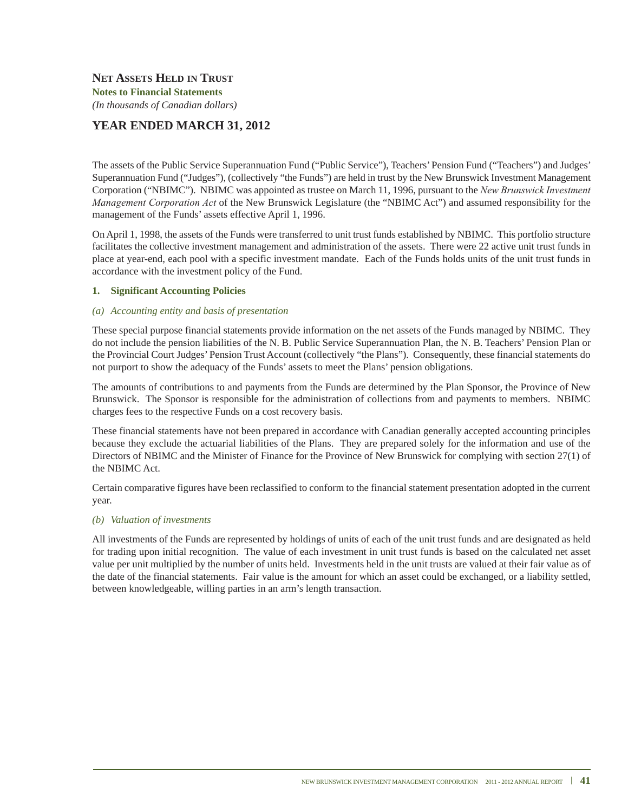## **NET ASSETS HELD IN TRUST**

**Notes to Financial Statements** *(In thousands of Canadian dollars)*

## **YEAR ENDED MARCH 31, 2012**

The assets of the Public Service Superannuation Fund ("Public Service"), Teachers' Pension Fund ("Teachers") and Judges' Superannuation Fund ("Judges"), (collectively "the Funds") are held in trust by the New Brunswick Investment Management Corporation ("NBIMC"). NBIMC was appointed as trustee on March 11, 1996, pursuant to the *New Brunswick Investment Management Corporation Act* of the New Brunswick Legislature (the "NBIMC Act") and assumed responsibility for the management of the Funds' assets effective April 1, 1996.

On April 1, 1998, the assets of the Funds were transferred to unit trust funds established by NBIMC. This portfolio structure facilitates the collective investment management and administration of the assets. There were 22 active unit trust funds in place at year-end, each pool with a specific investment mandate. Each of the Funds holds units of the unit trust funds in accordance with the investment policy of the Fund.

## **1. Significant Accounting Policies**

## *(a) Accounting entity and basis of presentation*

These special purpose financial statements provide information on the net assets of the Funds managed by NBIMC. They do not include the pension liabilities of the N. B. Public Service Superannuation Plan, the N. B. Teachers' Pension Plan or the Provincial Court Judges' Pension Trust Account (collectively "the Plans"). Consequently, these financial statements do not purport to show the adequacy of the Funds' assets to meet the Plans' pension obligations.

The amounts of contributions to and payments from the Funds are determined by the Plan Sponsor, the Province of New Brunswick. The Sponsor is responsible for the administration of collections from and payments to members. NBIMC charges fees to the respective Funds on a cost recovery basis.

These financial statements have not been prepared in accordance with Canadian generally accepted accounting principles because they exclude the actuarial liabilities of the Plans. They are prepared solely for the information and use of the Directors of NBIMC and the Minister of Finance for the Province of New Brunswick for complying with section 27(1) of the NBIMC Act.

Certain comparative figures have been reclassified to conform to the financial statement presentation adopted in the current year.

## *(b) Valuation of investments*

All investments of the Funds are represented by holdings of units of each of the unit trust funds and are designated as held for trading upon initial recognition. The value of each investment in unit trust funds is based on the calculated net asset value per unit multiplied by the number of units held. Investments held in the unit trusts are valued at their fair value as of the date of the financial statements. Fair value is the amount for which an asset could be exchanged, or a liability settled, between knowledgeable, willing parties in an arm's length transaction.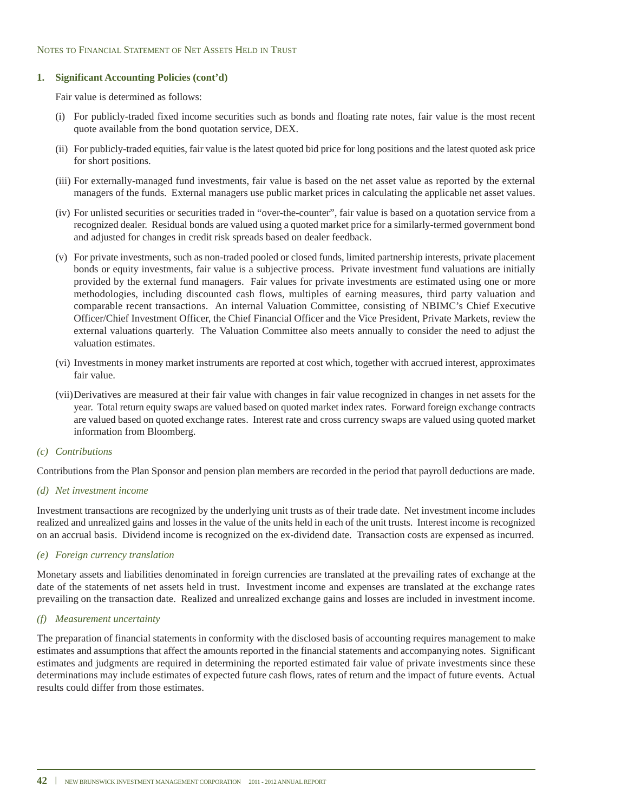#### **1. Significant Accounting Policies (cont'd)**

Fair value is determined as follows:

- (i) For publicly-traded fixed income securities such as bonds and floating rate notes, fair value is the most recent quote available from the bond quotation service, DEX.
- (ii) For publicly-traded equities, fair value is the latest quoted bid price for long positions and the latest quoted ask price for short positions.
- (iii) For externally-managed fund investments, fair value is based on the net asset value as reported by the external managers of the funds. External managers use public market prices in calculating the applicable net asset values.
- (iv) For unlisted securities or securities traded in "over-the-counter", fair value is based on a quotation service from a recognized dealer. Residual bonds are valued using a quoted market price for a similarly-termed government bond and adjusted for changes in credit risk spreads based on dealer feedback.
- (v) For private investments, such as non-traded pooled or closed funds, limited partnership interests, private placement bonds or equity investments, fair value is a subjective process. Private investment fund valuations are initially provided by the external fund managers. Fair values for private investments are estimated using one or more methodologies, including discounted cash flows, multiples of earning measures, third party valuation and comparable recent transactions. An internal Valuation Committee, consisting of NBIMC's Chief Executive Officer/Chief Investment Officer, the Chief Financial Officer and the Vice President, Private Markets, review the external valuations quarterly. The Valuation Committee also meets annually to consider the need to adjust the valuation estimates.
- (vi) Investments in money market instruments are reported at cost which, together with accrued interest, approximates fair value.
- (vii)Derivatives are measured at their fair value with changes in fair value recognized in changes in net assets for the year. Total return equity swaps are valued based on quoted market index rates. Forward foreign exchange contracts are valued based on quoted exchange rates. Interest rate and cross currency swaps are valued using quoted market information from Bloomberg.
- *(c) Contributions*

Contributions from the Plan Sponsor and pension plan members are recorded in the period that payroll deductions are made.

*(d) Net investment income*

Investment transactions are recognized by the underlying unit trusts as of their trade date. Net investment income includes realized and unrealized gains and losses in the value of the units held in each of the unit trusts. Interest income is recognized on an accrual basis. Dividend income is recognized on the ex-dividend date. Transaction costs are expensed as incurred.

*(e) Foreign currency translation*

Monetary assets and liabilities denominated in foreign currencies are translated at the prevailing rates of exchange at the date of the statements of net assets held in trust. Investment income and expenses are translated at the exchange rates prevailing on the transaction date. Realized and unrealized exchange gains and losses are included in investment income.

#### *(f) Measurement uncertainty*

The preparation of financial statements in conformity with the disclosed basis of accounting requires management to make estimates and assumptions that affect the amounts reported in the financial statements and accompanying notes. Significant estimates and judgments are required in determining the reported estimated fair value of private investments since these determinations may include estimates of expected future cash flows, rates of return and the impact of future events. Actual results could differ from those estimates.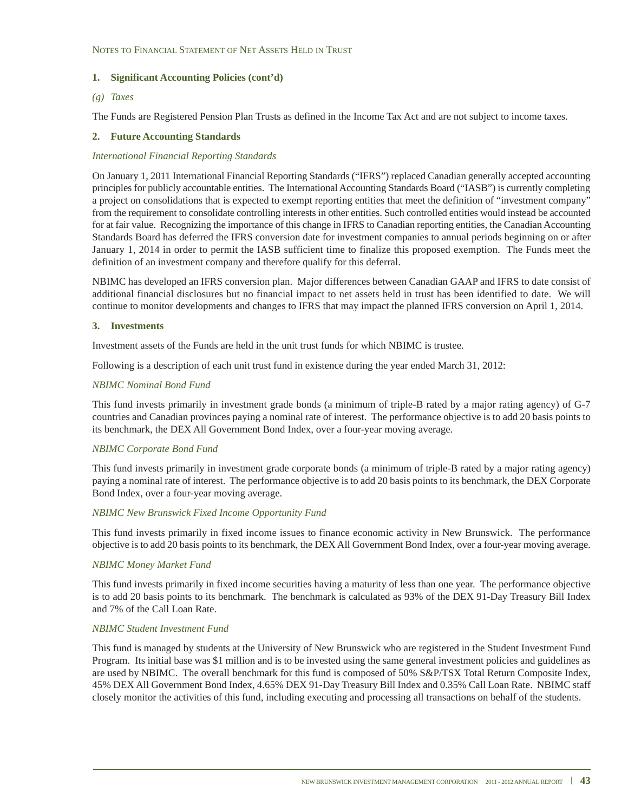#### **1. Significant Accounting Policies (cont'd)**

### *(g) Taxes*

The Funds are Registered Pension Plan Trusts as defined in the Income Tax Act and are not subject to income taxes.

#### **2. Future Accounting Standards**

#### *International Financial Reporting Standards*

On January 1, 2011 International Financial Reporting Standards ("IFRS") replaced Canadian generally accepted accounting principles for publicly accountable entities. The International Accounting Standards Board ("IASB") is currently completing a project on consolidations that is expected to exempt reporting entities that meet the definition of "investment company" from the requirement to consolidate controlling interests in other entities. Such controlled entities would instead be accounted for at fair value. Recognizing the importance of this change in IFRS to Canadian reporting entities, the Canadian Accounting Standards Board has deferred the IFRS conversion date for investment companies to annual periods beginning on or after January 1, 2014 in order to permit the IASB sufficient time to finalize this proposed exemption. The Funds meet the definition of an investment company and therefore qualify for this deferral.

NBIMC has developed an IFRS conversion plan. Major differences between Canadian GAAP and IFRS to date consist of additional financial disclosures but no financial impact to net assets held in trust has been identified to date. We will continue to monitor developments and changes to IFRS that may impact the planned IFRS conversion on April 1, 2014.

#### **3. Investments**

Investment assets of the Funds are held in the unit trust funds for which NBIMC is trustee.

Following is a description of each unit trust fund in existence during the year ended March 31, 2012:

#### *NBIMC Nominal Bond Fund*

This fund invests primarily in investment grade bonds (a minimum of triple-B rated by a major rating agency) of G-7 countries and Canadian provinces paying a nominal rate of interest. The performance objective is to add 20 basis points to its benchmark, the DEX All Government Bond Index, over a four-year moving average.

#### *NBIMC Corporate Bond Fund*

This fund invests primarily in investment grade corporate bonds (a minimum of triple-B rated by a major rating agency) paying a nominal rate of interest. The performance objective is to add 20 basis points to its benchmark, the DEX Corporate Bond Index, over a four-year moving average.

#### *NBIMC New Brunswick Fixed Income Opportunity Fund*

This fund invests primarily in fixed income issues to finance economic activity in New Brunswick. The performance objective is to add 20 basis points to its benchmark, the DEX All Government Bond Index, over a four-year moving average.

#### *NBIMC Money Market Fund*

This fund invests primarily in fixed income securities having a maturity of less than one year. The performance objective is to add 20 basis points to its benchmark. The benchmark is calculated as 93% of the DEX 91-Day Treasury Bill Index and 7% of the Call Loan Rate.

#### *NBIMC Student Investment Fund*

This fund is managed by students at the University of New Brunswick who are registered in the Student Investment Fund Program. Its initial base was \$1 million and is to be invested using the same general investment policies and guidelines as are used by NBIMC. The overall benchmark for this fund is composed of 50% S&P/TSX Total Return Composite Index, 45% DEX All Government Bond Index, 4.65% DEX 91-Day Treasury Bill Index and 0.35% Call Loan Rate. NBIMC staff closely monitor the activities of this fund, including executing and processing all transactions on behalf of the students.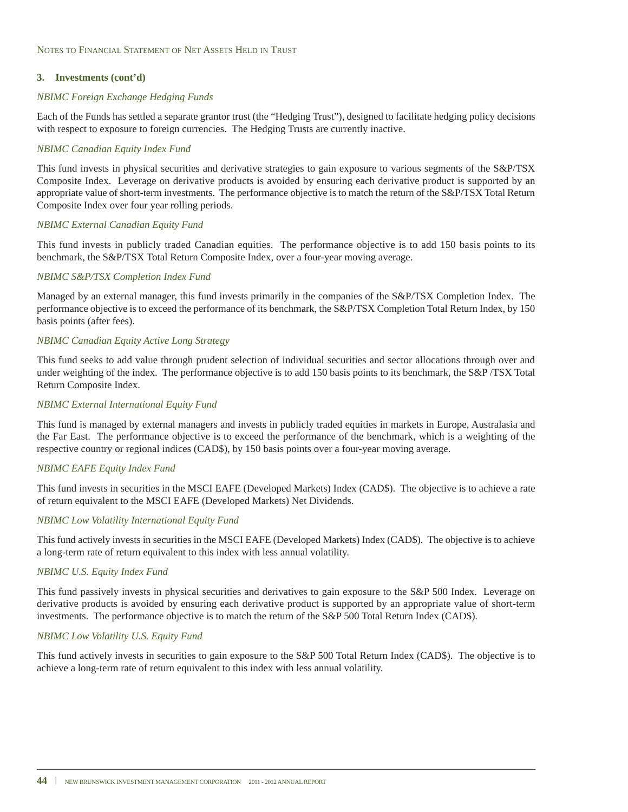#### *NBIMC Foreign Exchange Hedging Funds*

Each of the Funds has settled a separate grantor trust (the "Hedging Trust"), designed to facilitate hedging policy decisions with respect to exposure to foreign currencies. The Hedging Trusts are currently inactive.

#### *NBIMC Canadian Equity Index Fund*

This fund invests in physical securities and derivative strategies to gain exposure to various segments of the S&P/TSX Composite Index. Leverage on derivative products is avoided by ensuring each derivative product is supported by an appropriate value of short-term investments. The performance objective is to match the return of the S&P/TSX Total Return Composite Index over four year rolling periods.

#### *NBIMC External Canadian Equity Fund*

This fund invests in publicly traded Canadian equities. The performance objective is to add 150 basis points to its benchmark, the S&P/TSX Total Return Composite Index, over a four-year moving average.

#### *NBIMC S&P/TSX Completion Index Fund*

Managed by an external manager, this fund invests primarily in the companies of the S&P/TSX Completion Index. The performance objective is to exceed the performance of its benchmark, the S&P/TSX Completion Total Return Index, by 150 basis points (after fees).

#### *NBIMC Canadian Equity Active Long Strategy*

This fund seeks to add value through prudent selection of individual securities and sector allocations through over and under weighting of the index. The performance objective is to add 150 basis points to its benchmark, the S&P/TSX Total Return Composite Index.

#### *NBIMC External International Equity Fund*

This fund is managed by external managers and invests in publicly traded equities in markets in Europe, Australasia and the Far East. The performance objective is to exceed the performance of the benchmark, which is a weighting of the respective country or regional indices (CAD\$), by 150 basis points over a four-year moving average.

## *NBIMC EAFE Equity Index Fund*

This fund invests in securities in the MSCI EAFE (Developed Markets) Index (CAD\$). The objective is to achieve a rate of return equivalent to the MSCI EAFE (Developed Markets) Net Dividends.

## *NBIMC Low Volatility International Equity Fund*

This fund actively invests in securities in the MSCI EAFE (Developed Markets) Index (CAD\$). The objective is to achieve a long-term rate of return equivalent to this index with less annual volatility.

## *NBIMC U.S. Equity Index Fund*

This fund passively invests in physical securities and derivatives to gain exposure to the S&P 500 Index. Leverage on derivative products is avoided by ensuring each derivative product is supported by an appropriate value of short-term investments. The performance objective is to match the return of the S&P 500 Total Return Index (CAD\$).

#### *NBIMC Low Volatility U.S. Equity Fund*

This fund actively invests in securities to gain exposure to the S&P 500 Total Return Index (CAD\$). The objective is to achieve a long-term rate of return equivalent to this index with less annual volatility.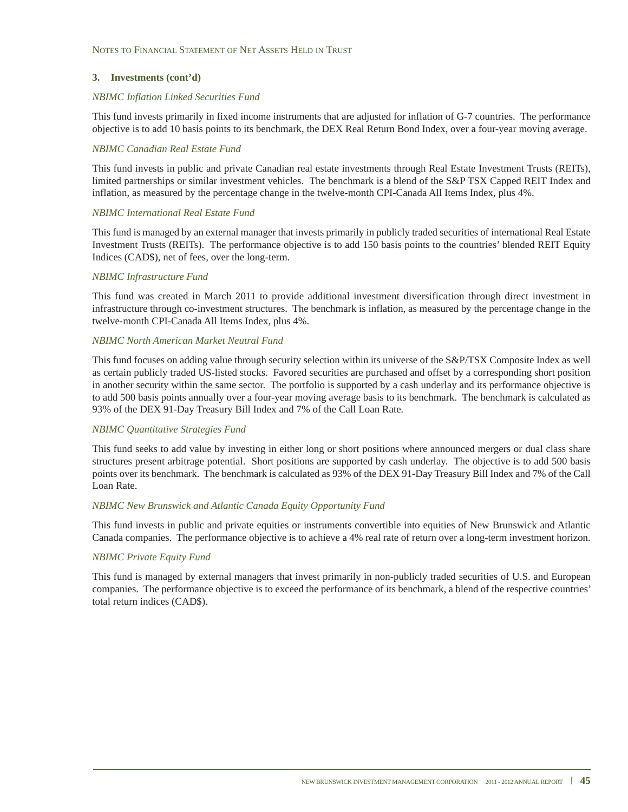#### *NBIMC Inflation Linked Securities Fund*

This fund invests primarily in fixed income instruments that are adjusted for inflation of G-7 countries. The performance objective is to add 10 basis points to its benchmark, the DEX Real Return Bond Index, over a four-year moving average.

#### *NBIMC Canadian Real Estate Fund*

This fund invests in public and private Canadian real estate investments through Real Estate Investment Trusts (REITs), limited partnerships or similar investment vehicles. The benchmark is a blend of the S&P TSX Capped REIT Index and inflation, as measured by the percentage change in the twelve-month CPI-Canada All Items Index, plus 4%.

#### *NBIMC International Real Estate Fund*

This fund is managed by an external manager that invests primarily in publicly traded securities of international Real Estate Investment Trusts (REITs). The performance objective is to add 150 basis points to the countries' blended REIT Equity Indices (CAD\$), net of fees, over the long-term.

#### *NBIMC Infrastructure Fund*

This fund was created in March 2011 to provide additional investment diversification through direct investment in infrastructure through co-investment structures. The benchmark is inflation, as measured by the percentage change in the twelve-month CPI-Canada All Items Index, plus 4%.

#### *NBIMC North American Market Neutral Fund*

This fund focuses on adding value through security selection within its universe of the S&P/TSX Composite Index as well as certain publicly traded US-listed stocks. Favored securities are purchased and offset by a corresponding short position in another security within the same sector. The portfolio is supported by a cash underlay and its performance objective is to add 500 basis points annually over a four-year moving average basis to its benchmark. The benchmark is calculated as 93% of the DEX 91-Day Treasury Bill Index and 7% of the Call Loan Rate.

#### *NBIMC Quantitative Strategies Fund*

This fund seeks to add value by investing in either long or short positions where announced mergers or dual class share structures present arbitrage potential. Short positions are supported by cash underlay. The objective is to add 500 basis points over its benchmark. The benchmark is calculated as 93% of the DEX 91-Day Treasury Bill Index and 7% of the Call Loan Rate.

#### *NBIMC New Brunswick and Atlantic Canada Equity Opportunity Fund*

This fund invests in public and private equities or instruments convertible into equities of New Brunswick and Atlantic Canada companies. The performance objective is to achieve a 4% real rate of return over a long-term investment horizon.

#### *NBIMC Private Equity Fund*

This fund is managed by external managers that invest primarily in non-publicly traded securities of U.S. and European companies. The performance objective is to exceed the performance of its benchmark, a blend of the respective countries' total return indices (CAD\$).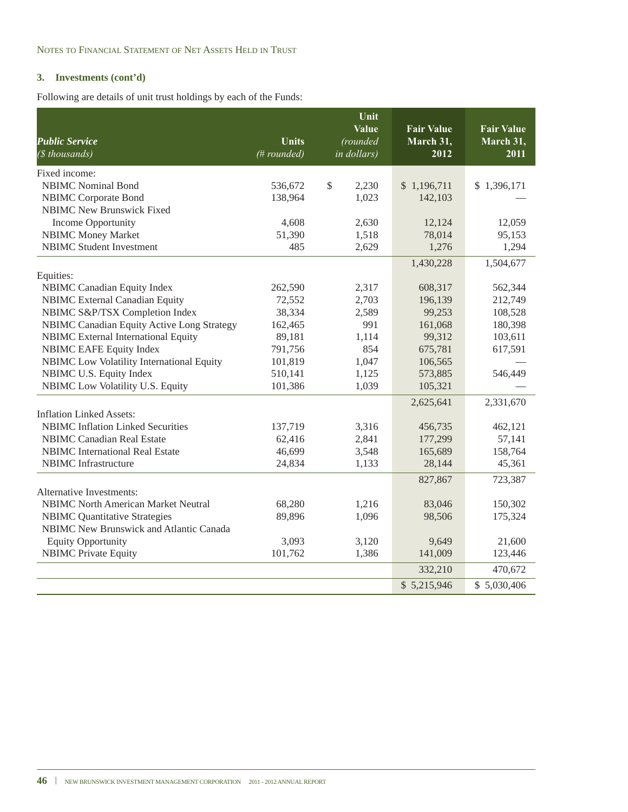Following are details of unit trust holdings by each of the Funds:

|                                            |              | Unit<br><b>Value</b> | <b>Fair Value</b> | <b>Fair Value</b> |
|--------------------------------------------|--------------|----------------------|-------------------|-------------------|
| <b>Public Service</b>                      | <b>Units</b> | (rounded             | March 31,         | March 31,         |
| (\$ thousands)                             | (# rounded)  | in dollars)          | 2012              | 2011              |
| Fixed income:                              |              |                      |                   |                   |
| <b>NBIMC</b> Nominal Bond                  | 536,672      | \$<br>2,230          | \$1,196,711       | \$1,396,171       |
| <b>NBIMC</b> Corporate Bond                | 138,964      | 1,023                | 142,103           |                   |
| <b>NBIMC New Brunswick Fixed</b>           |              |                      |                   |                   |
| Income Opportunity                         | 4,608        | 2,630                | 12,124            | 12,059            |
| <b>NBIMC</b> Money Market                  | 51,390       | 1,518                | 78,014            | 95,153            |
| <b>NBIMC</b> Student Investment            | 485          | 2,629                | 1,276             | 1,294             |
|                                            |              |                      | 1,430,228         | 1,504,677         |
| Equities:                                  |              |                      |                   |                   |
| <b>NBIMC</b> Canadian Equity Index         | 262,590      | 2,317                | 608,317           | 562,344           |
| <b>NBIMC</b> External Canadian Equity      | 72,552       | 2,703                | 196,139           | 212,749           |
| NBIMC S&P/TSX Completion Index             | 38,334       | 2,589                | 99,253            | 108,528           |
| NBIMC Canadian Equity Active Long Strategy | 162,465      | 991                  | 161,068           | 180,398           |
| <b>NBIMC</b> External International Equity | 89,181       | 1,114                | 99,312            | 103,611           |
| <b>NBIMC EAFE Equity Index</b>             | 791,756      | 854                  | 675,781           | 617,591           |
| NBIMC Low Volatility International Equity  | 101,819      | 1,047                | 106,565           |                   |
| NBIMC U.S. Equity Index                    | 510,141      | 1,125                | 573,885           | 546,449           |
| NBIMC Low Volatility U.S. Equity           | 101,386      | 1,039                | 105,321           |                   |
|                                            |              |                      | 2,625,641         | 2,331,670         |
| <b>Inflation Linked Assets:</b>            |              |                      |                   |                   |
| <b>NBIMC</b> Inflation Linked Securities   | 137,719      | 3,316                | 456,735           | 462,121           |
| <b>NBIMC Canadian Real Estate</b>          | 62,416       | 2,841                | 177,299           | 57,141            |
| <b>NBIMC</b> International Real Estate     | 46,699       | 3,548                | 165,689           | 158,764           |
| <b>NBIMC</b> Infrastructure                | 24,834       | 1,133                | 28,144            | 45,361            |
|                                            |              |                      | 827,867           | 723,387           |
| Alternative Investments:                   |              |                      |                   |                   |
| <b>NBIMC North American Market Neutral</b> | 68,280       | 1,216                | 83,046            | 150,302           |
| <b>NBIMC Quantitative Strategies</b>       | 89,896       | 1,096                | 98,506            | 175,324           |
| NBIMC New Brunswick and Atlantic Canada    |              |                      |                   |                   |
| <b>Equity Opportunity</b>                  | 3,093        | 3,120                | 9,649             | 21,600            |
| <b>NBIMC</b> Private Equity                | 101,762      | 1,386                | 141,009           | 123,446           |
|                                            |              |                      | 332,210           | 470,672           |
|                                            |              |                      | \$5,215,946       | \$5,030,406       |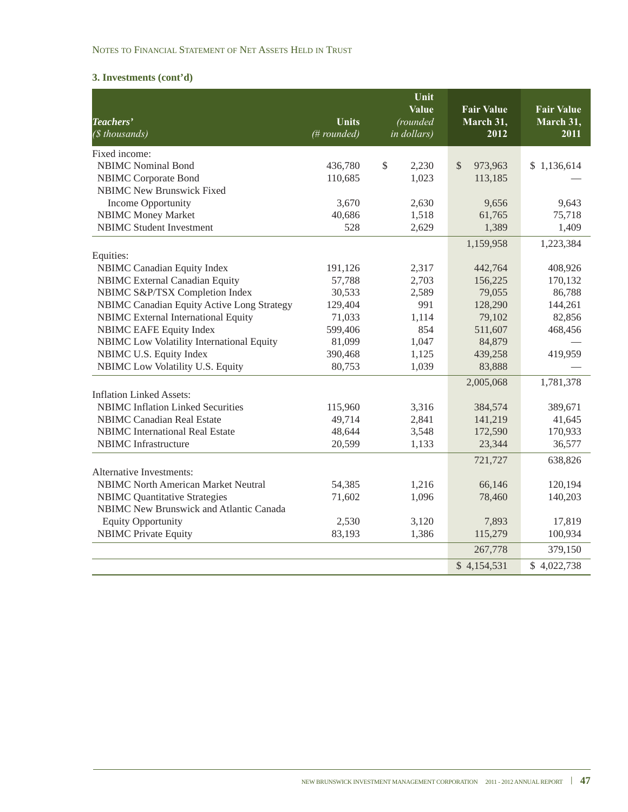## NOTES TO FINANCIAL STATEMENT OF NET ASSETS HELD IN TRUST

## **3. Investments (cont'd)**

|                                            |              | Unit<br><b>Value</b>  | <b>Fair Value</b>        | <b>Fair Value</b> |
|--------------------------------------------|--------------|-----------------------|--------------------------|-------------------|
| Teachers'                                  | <b>Units</b> | (rounded              | March 31,                | March 31,         |
| (\$ thousands)                             | (# rounded)  | in dollars)           | 2012                     | 2011              |
| Fixed income:                              |              |                       |                          |                   |
| <b>NBIMC</b> Nominal Bond                  | 436,780      | $\mathbb{S}$<br>2,230 | $\mathcal{S}$<br>973,963 | \$1,136,614       |
| <b>NBIMC</b> Corporate Bond                | 110,685      | 1,023                 | 113,185                  |                   |
| <b>NBIMC New Brunswick Fixed</b>           |              |                       |                          |                   |
| Income Opportunity                         | 3,670        | 2,630                 | 9,656                    | 9,643             |
| <b>NBIMC Money Market</b>                  | 40,686       | 1,518                 | 61,765                   | 75,718            |
| <b>NBIMC</b> Student Investment            | 528          | 2,629                 | 1,389                    | 1,409             |
|                                            |              |                       | 1,159,958                | 1,223,384         |
| Equities:                                  |              |                       |                          |                   |
| <b>NBIMC</b> Canadian Equity Index         | 191,126      | 2,317                 | 442,764                  | 408,926           |
| <b>NBIMC</b> External Canadian Equity      | 57,788       | 2,703                 | 156,225                  | 170,132           |
| NBIMC S&P/TSX Completion Index             | 30,533       | 2,589                 | 79,055                   | 86,788            |
| NBIMC Canadian Equity Active Long Strategy | 129,404      | 991                   | 128,290                  | 144,261           |
| NBIMC External International Equity        | 71,033       | 1,114                 | 79,102                   | 82,856            |
| <b>NBIMC EAFE Equity Index</b>             | 599,406      | 854                   | 511,607                  | 468,456           |
| NBIMC Low Volatility International Equity  | 81,099       | 1,047                 | 84,879                   |                   |
| NBIMC U.S. Equity Index                    | 390,468      | 1,125                 | 439,258                  | 419,959           |
| NBIMC Low Volatility U.S. Equity           | 80,753       | 1,039                 | 83,888                   |                   |
|                                            |              |                       | 2,005,068                | 1,781,378         |
| <b>Inflation Linked Assets:</b>            |              |                       |                          |                   |
| <b>NBIMC Inflation Linked Securities</b>   | 115,960      | 3,316                 | 384,574                  | 389,671           |
| <b>NBIMC</b> Canadian Real Estate          | 49,714       | 2,841                 | 141,219                  | 41,645            |
| <b>NBIMC</b> International Real Estate     | 48,644       | 3,548                 | 172,590                  | 170,933           |
| <b>NBIMC</b> Infrastructure                | 20,599       | 1,133                 | 23,344                   | 36,577            |
|                                            |              |                       | 721,727                  | 638,826           |
| Alternative Investments:                   |              |                       |                          |                   |
| <b>NBIMC North American Market Neutral</b> | 54,385       | 1,216                 | 66,146                   | 120,194           |
| <b>NBIMC</b> Quantitative Strategies       | 71,602       | 1,096                 | 78,460                   | 140,203           |
| NBIMC New Brunswick and Atlantic Canada    |              |                       |                          |                   |
| <b>Equity Opportunity</b>                  | 2,530        | 3,120                 | 7,893                    | 17,819            |
| <b>NBIMC</b> Private Equity                | 83,193       | 1,386                 | 115,279                  | 100,934           |
|                                            |              |                       | 267,778                  | 379,150           |
|                                            |              |                       | \$4,154,531              | \$4,022,738       |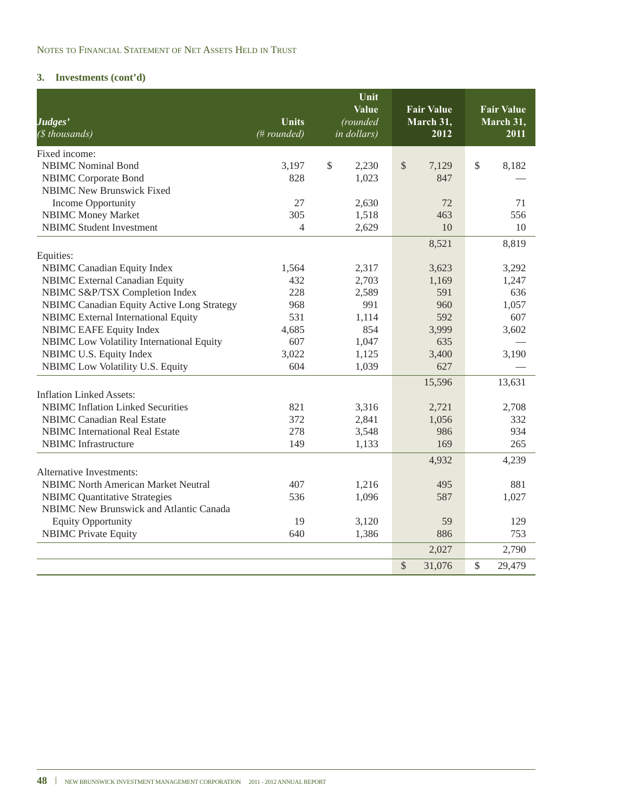| Judges'<br>(\$ thousands)                  | <b>Units</b><br>(# rounded) | Unit<br><b>Value</b><br>(rounded<br>in dollars) | <b>Fair Value</b><br>March 31,<br>2012 | <b>Fair Value</b><br>March 31,<br>2011 |
|--------------------------------------------|-----------------------------|-------------------------------------------------|----------------------------------------|----------------------------------------|
| Fixed income:                              |                             |                                                 |                                        |                                        |
| <b>NBIMC</b> Nominal Bond                  | 3,197                       | \$<br>2,230                                     | \$<br>7,129                            | \$<br>8,182                            |
| <b>NBIMC</b> Corporate Bond                | 828                         | 1,023                                           | 847                                    |                                        |
| <b>NBIMC New Brunswick Fixed</b>           |                             |                                                 |                                        |                                        |
| Income Opportunity                         | 27                          | 2,630                                           | 72                                     | 71                                     |
| <b>NBIMC</b> Money Market                  | 305                         | 1,518                                           | 463                                    | 556                                    |
| <b>NBIMC</b> Student Investment            | $\overline{4}$              | 2,629                                           | 10                                     | 10                                     |
|                                            |                             |                                                 | 8,521                                  | 8,819                                  |
| Equities:                                  |                             |                                                 |                                        |                                        |
| <b>NBIMC</b> Canadian Equity Index         | 1,564                       | 2,317                                           | 3,623                                  | 3,292                                  |
| <b>NBIMC</b> External Canadian Equity      | 432                         | 2,703                                           | 1,169                                  | 1,247                                  |
| NBIMC S&P/TSX Completion Index             | 228                         | 2,589                                           | 591                                    | 636                                    |
| NBIMC Canadian Equity Active Long Strategy | 968                         | 991                                             | 960                                    | 1,057                                  |
| <b>NBIMC</b> External International Equity | 531                         | 1,114                                           | 592                                    | 607                                    |
| <b>NBIMC EAFE Equity Index</b>             | 4,685                       | 854                                             | 3,999                                  | 3,602                                  |
| NBIMC Low Volatility International Equity  | 607                         | 1,047                                           | 635                                    |                                        |
| NBIMC U.S. Equity Index                    | 3,022                       | 1,125                                           | 3,400                                  | 3,190                                  |
| NBIMC Low Volatility U.S. Equity           | 604                         | 1,039                                           | 627                                    |                                        |
|                                            |                             |                                                 | 15,596                                 | 13,631                                 |
| <b>Inflation Linked Assets:</b>            |                             |                                                 |                                        |                                        |
| <b>NBIMC</b> Inflation Linked Securities   | 821                         | 3,316                                           | 2,721                                  | 2,708                                  |
| <b>NBIMC Canadian Real Estate</b>          | 372                         | 2,841                                           | 1,056                                  | 332                                    |
| <b>NBIMC</b> International Real Estate     | 278                         | 3,548                                           | 986                                    | 934                                    |
| <b>NBIMC</b> Infrastructure                | 149                         | 1,133                                           | 169                                    | 265                                    |
|                                            |                             |                                                 | 4,932                                  | 4,239                                  |
| Alternative Investments:                   |                             |                                                 |                                        |                                        |
| <b>NBIMC North American Market Neutral</b> | 407                         | 1,216                                           | 495                                    | 881                                    |
| <b>NBIMC</b> Quantitative Strategies       | 536                         | 1,096                                           | 587                                    | 1,027                                  |
| NBIMC New Brunswick and Atlantic Canada    |                             |                                                 |                                        |                                        |
| <b>Equity Opportunity</b>                  | 19                          | 3,120                                           | 59                                     | 129                                    |
| <b>NBIMC</b> Private Equity                | 640                         | 1,386                                           | 886                                    | 753                                    |
|                                            |                             |                                                 | 2,027                                  | 2,790                                  |
|                                            |                             |                                                 | \$<br>31,076                           | \$<br>29,479                           |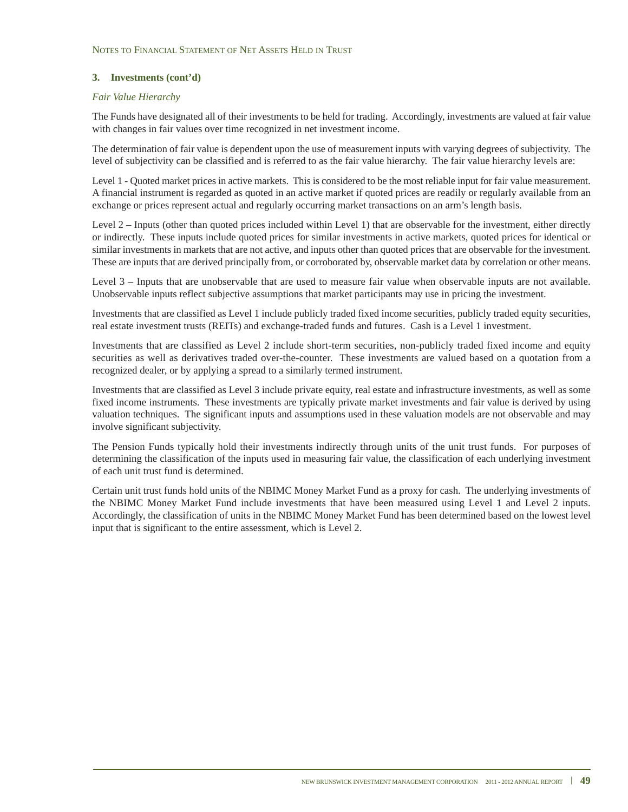#### *Fair Value Hierarchy*

The Funds have designated all of their investments to be held for trading. Accordingly, investments are valued at fair value with changes in fair values over time recognized in net investment income.

The determination of fair value is dependent upon the use of measurement inputs with varying degrees of subjectivity. The level of subjectivity can be classified and is referred to as the fair value hierarchy. The fair value hierarchy levels are:

Level 1 - Quoted market prices in active markets. This is considered to be the most reliable input for fair value measurement. A financial instrument is regarded as quoted in an active market if quoted prices are readily or regularly available from an exchange or prices represent actual and regularly occurring market transactions on an arm's length basis.

Level 2 – Inputs (other than quoted prices included within Level 1) that are observable for the investment, either directly or indirectly. These inputs include quoted prices for similar investments in active markets, quoted prices for identical or similar investments in markets that are not active, and inputs other than quoted prices that are observable for the investment. These are inputs that are derived principally from, or corroborated by, observable market data by correlation or other means.

Level 3 – Inputs that are unobservable that are used to measure fair value when observable inputs are not available. Unobservable inputs reflect subjective assumptions that market participants may use in pricing the investment.

Investments that are classified as Level 1 include publicly traded fixed income securities, publicly traded equity securities, real estate investment trusts (REITs) and exchange-traded funds and futures. Cash is a Level 1 investment.

Investments that are classified as Level 2 include short-term securities, non-publicly traded fixed income and equity securities as well as derivatives traded over-the-counter. These investments are valued based on a quotation from a recognized dealer, or by applying a spread to a similarly termed instrument.

Investments that are classified as Level 3 include private equity, real estate and infrastructure investments, as well as some fixed income instruments. These investments are typically private market investments and fair value is derived by using valuation techniques. The significant inputs and assumptions used in these valuation models are not observable and may involve significant subjectivity.

The Pension Funds typically hold their investments indirectly through units of the unit trust funds. For purposes of determining the classification of the inputs used in measuring fair value, the classification of each underlying investment of each unit trust fund is determined.

Certain unit trust funds hold units of the NBIMC Money Market Fund as a proxy for cash. The underlying investments of the NBIMC Money Market Fund include investments that have been measured using Level 1 and Level 2 inputs. Accordingly, the classification of units in the NBIMC Money Market Fund has been determined based on the lowest level input that is significant to the entire assessment, which is Level 2.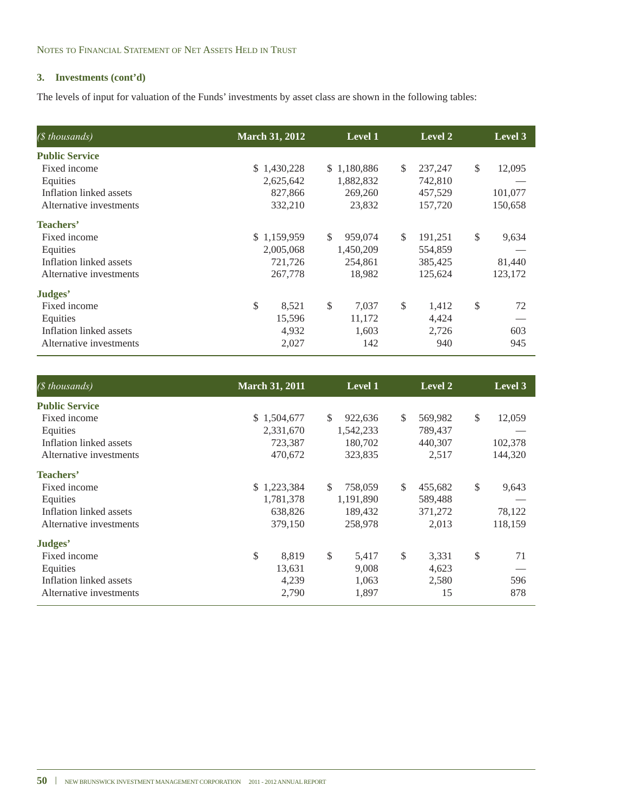The levels of input for valuation of the Funds' investments by asset class are shown in the following tables:

| (\$ thousands)          | <b>March 31, 2012</b> | <b>Level 1</b> | <b>Level 2</b> | Level 3                |
|-------------------------|-----------------------|----------------|----------------|------------------------|
| <b>Public Service</b>   |                       |                |                |                        |
| Fixed income            | \$1,430,228           | \$1,180,886    | \$<br>237,247  | $\mathbb{S}$<br>12,095 |
| Equities                | 2,625,642             | 1,882,832      | 742,810        |                        |
| Inflation linked assets | 827,866               | 269,260        | 457,529        | 101,077                |
| Alternative investments | 332,210               | 23,832         | 157,720        | 150,658                |
| <b>Teachers'</b>        |                       |                |                |                        |
| Fixed income            | \$1,159,959           | \$<br>959,074  | \$<br>191,251  | \$<br>9,634            |
| Equities                | 2,005,068             | 1,450,209      | 554,859        |                        |
| Inflation linked assets | 721,726               | 254,861        | 385,425        | 81,440                 |
| Alternative investments | 267,778               | 18,982         | 125,624        | 123,172                |
| Judges'                 |                       |                |                |                        |
| Fixed income            | \$<br>8,521           | \$<br>7.037    | \$<br>1,412    | \$<br>72               |
| Equities                | 15,596                | 11,172         | 4,424          |                        |
| Inflation linked assets | 4,932                 | 1,603          | 2,726          | 603                    |
| Alternative investments | 2,027                 | 142            | 940            | 945                    |

| (\$ thousands)          | <b>March 31, 2011</b> | Level 1       | Level 2        | Level 3                 |
|-------------------------|-----------------------|---------------|----------------|-------------------------|
| <b>Public Service</b>   |                       |               |                |                         |
| Fixed income            | \$1,504,677           | \$<br>922,636 | \$.<br>569,982 | $\mathcal{S}$<br>12,059 |
| Equities                | 2,331,670             | 1,542,233     | 789,437        |                         |
| Inflation linked assets | 723,387               | 180,702       | 440,307        | 102,378                 |
| Alternative investments | 470,672               | 323,835       | 2,517          | 144,320                 |
| <b>Teachers'</b>        |                       |               |                |                         |
| Fixed income            | \$1,223,384           | \$<br>758,059 | \$.<br>455,682 | $\mathcal{S}$<br>9,643  |
| Equities                | 1,781,378             | 1,191,890     | 589,488        |                         |
| Inflation linked assets | 638,826               | 189,432       | 371,272        | 78,122                  |
| Alternative investments | 379,150               | 258,978       | 2,013          | 118,159                 |
| Judges'                 |                       |               |                |                         |
| Fixed income            | \$<br>8,819           | \$<br>5,417   | \$<br>3,331    | $\mathcal{S}$<br>71     |
| Equities                | 13,631                | 9,008         | 4,623          |                         |
| Inflation linked assets | 4,239                 | 1,063         | 2,580          | 596                     |
| Alternative investments | 2,790                 | 1,897         | 15             | 878                     |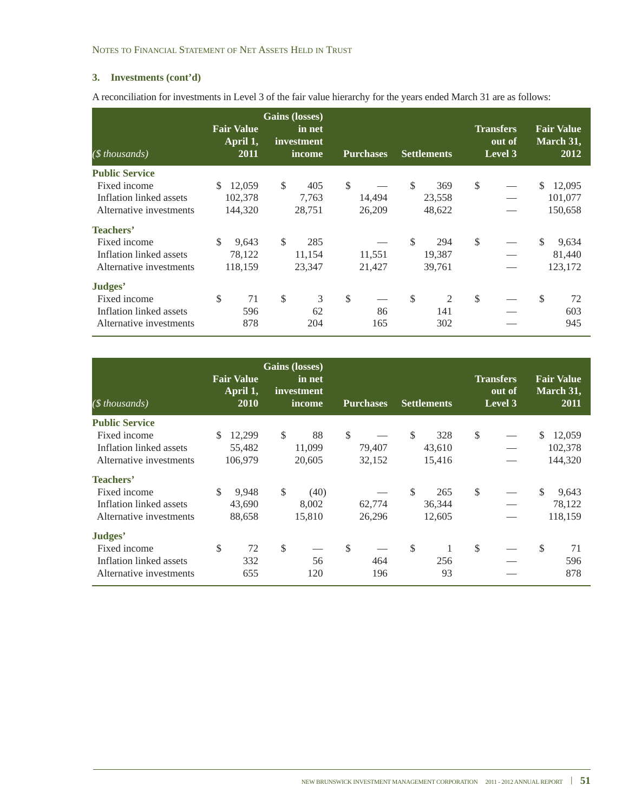A reconciliation for investments in Level 3 of the fair value hierarchy for the years ended March 31 are as follows:

| (\$thousands)           | <b>Fair Value</b><br>April 1,<br>2011 | <b>Gains (losses)</b> | in net<br>investment<br>income |               | <b>Purchases</b> | <b>Settlements</b> | <b>Transfers</b><br>out of<br>Level 3 |               | <b>Fair Value</b><br>March 31,<br>2012 |
|-------------------------|---------------------------------------|-----------------------|--------------------------------|---------------|------------------|--------------------|---------------------------------------|---------------|----------------------------------------|
| <b>Public Service</b>   |                                       |                       |                                |               |                  |                    |                                       |               |                                        |
| Fixed income            | 12,059<br>S.                          | $\mathbb{S}$          | 405                            | \$            |                  | \$<br>369          | \$                                    | \$            | 12,095                                 |
| Inflation linked assets | 102,378                               |                       | 7,763                          |               | 14,494           | 23,558             |                                       |               | 101,077                                |
| Alternative investments | 144,320                               |                       | 28,751                         |               | 26,209           | 48,622             |                                       |               | 150,658                                |
| Teachers'               |                                       |                       |                                |               |                  |                    |                                       |               |                                        |
| Fixed income            | \$<br>9,643                           | $\mathcal{S}$         | 285                            |               |                  | \$<br>294          | \$                                    | \$            | 9,634                                  |
| Inflation linked assets | 78,122                                |                       | 11,154                         |               | 11,551           | 19,387             |                                       |               | 81,440                                 |
| Alternative investments | 118,159                               |                       | 23,347                         |               | 21,427           | 39,761             |                                       |               | 123,172                                |
| Judges'                 |                                       |                       |                                |               |                  |                    |                                       |               |                                        |
| Fixed income            | \$<br>71                              | \$                    | 3                              | $\mathcal{S}$ |                  | \$<br>2            | \$                                    | $\mathcal{S}$ | 72                                     |
| Inflation linked assets | 596                                   |                       | 62                             |               | 86               | 141                |                                       |               | 603                                    |
| Alternative investments | 878                                   |                       | 204                            |               | 165              | 302                |                                       |               | 945                                    |

| $($$ thousands)         |     | <b>Fair Value</b><br>April 1,<br>2010 | <b>Gains</b> (losses)<br>in net<br>investment<br>income | <b>Purchases</b> | <b>Settlements</b> | <b>Transfers</b><br>out of<br>Level 3 | <b>Fair Value</b><br>March 31,<br>2011 |
|-------------------------|-----|---------------------------------------|---------------------------------------------------------|------------------|--------------------|---------------------------------------|----------------------------------------|
| <b>Public Service</b>   |     |                                       |                                                         |                  |                    |                                       |                                        |
| Fixed income            | S.  | 12,299                                | \$<br>88                                                | \$               | \$<br>328          | \$                                    | \$<br>12,059                           |
| Inflation linked assets |     | 55,482                                | 11,099                                                  | 79.407           | 43,610             |                                       | 102,378                                |
| Alternative investments |     | 106,979                               | 20,605                                                  | 32,152           | 15,416             |                                       | 144,320                                |
| <b>Teachers'</b>        |     |                                       |                                                         |                  |                    |                                       |                                        |
| Fixed income            | \$. | 9,948                                 | \$<br>(40)                                              |                  | \$<br>265          | \$                                    | \$<br>9,643                            |
| Inflation linked assets |     | 43.690                                | 8,002                                                   | 62,774           | 36,344             |                                       | 78,122                                 |
| Alternative investments |     | 88,658                                | 15,810                                                  | 26,296           | 12,605             |                                       | 118,159                                |
| Judges'                 |     |                                       |                                                         |                  |                    |                                       |                                        |
| Fixed income            | \$  | 72                                    | \$                                                      | \$               | \$                 | \$                                    | \$<br>71                               |
| Inflation linked assets |     | 332                                   | 56                                                      | 464              | 256                |                                       | 596                                    |
| Alternative investments |     | 655                                   | 120                                                     | 196              | 93                 |                                       | 878                                    |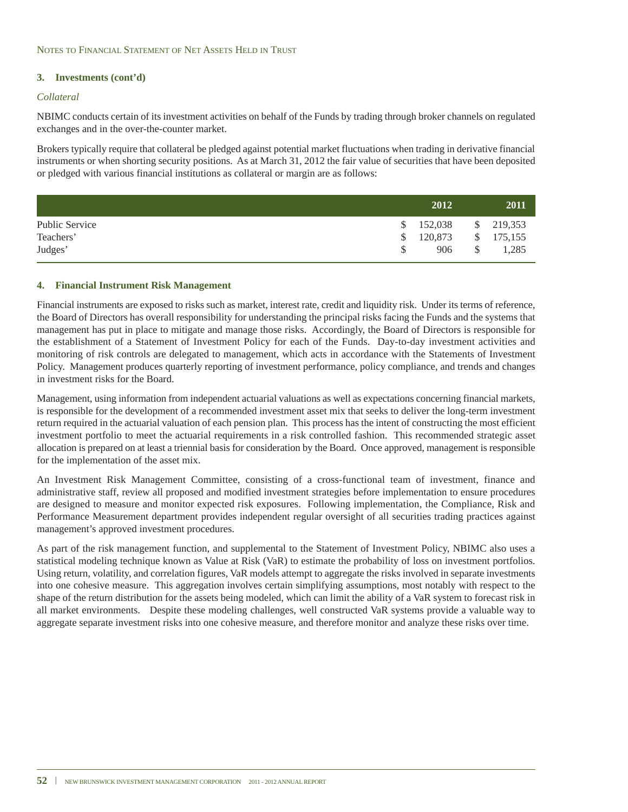#### *Collateral*

NBIMC conducts certain of its investment activities on behalf of the Funds by trading through broker channels on regulated exchanges and in the over-the-counter market.

Brokers typically require that collateral be pledged against potential market fluctuations when trading in derivative financial instruments or when shorting security positions. As at March 31, 2012 the fair value of securities that have been deposited or pledged with various financial institutions as collateral or margin are as follows:

|                |                | 2012      | 2011          |
|----------------|----------------|-----------|---------------|
| Public Service |                | \$152,038 | \$<br>219,353 |
| Teachers'      | $\mathbb{S}^-$ | 120,873   | \$<br>175,155 |
| Judges'        | S              | 906       | \$<br>1,285   |

#### **4. Financial Instrument Risk Management**

Financial instruments are exposed to risks such as market, interest rate, credit and liquidity risk. Under its terms of reference, the Board of Directors has overall responsibility for understanding the principal risks facing the Funds and the systems that management has put in place to mitigate and manage those risks. Accordingly, the Board of Directors is responsible for the establishment of a Statement of Investment Policy for each of the Funds. Day-to-day investment activities and monitoring of risk controls are delegated to management, which acts in accordance with the Statements of Investment Policy. Management produces quarterly reporting of investment performance, policy compliance, and trends and changes in investment risks for the Board.

Management, using information from independent actuarial valuations as well as expectations concerning financial markets, is responsible for the development of a recommended investment asset mix that seeks to deliver the long-term investment return required in the actuarial valuation of each pension plan. This process has the intent of constructing the most efficient investment portfolio to meet the actuarial requirements in a risk controlled fashion. This recommended strategic asset allocation is prepared on at least a triennial basis for consideration by the Board. Once approved, management is responsible for the implementation of the asset mix.

An Investment Risk Management Committee, consisting of a cross-functional team of investment, finance and administrative staff, review all proposed and modified investment strategies before implementation to ensure procedures are designed to measure and monitor expected risk exposures. Following implementation, the Compliance, Risk and Performance Measurement department provides independent regular oversight of all securities trading practices against management's approved investment procedures.

As part of the risk management function, and supplemental to the Statement of Investment Policy, NBIMC also uses a statistical modeling technique known as Value at Risk (VaR) to estimate the probability of loss on investment portfolios. Using return, volatility, and correlation figures, VaR models attempt to aggregate the risks involved in separate investments into one cohesive measure. This aggregation involves certain simplifying assumptions, most notably with respect to the shape of the return distribution for the assets being modeled, which can limit the ability of a VaR system to forecast risk in all market environments. Despite these modeling challenges, well constructed VaR systems provide a valuable way to aggregate separate investment risks into one cohesive measure, and therefore monitor and analyze these risks over time.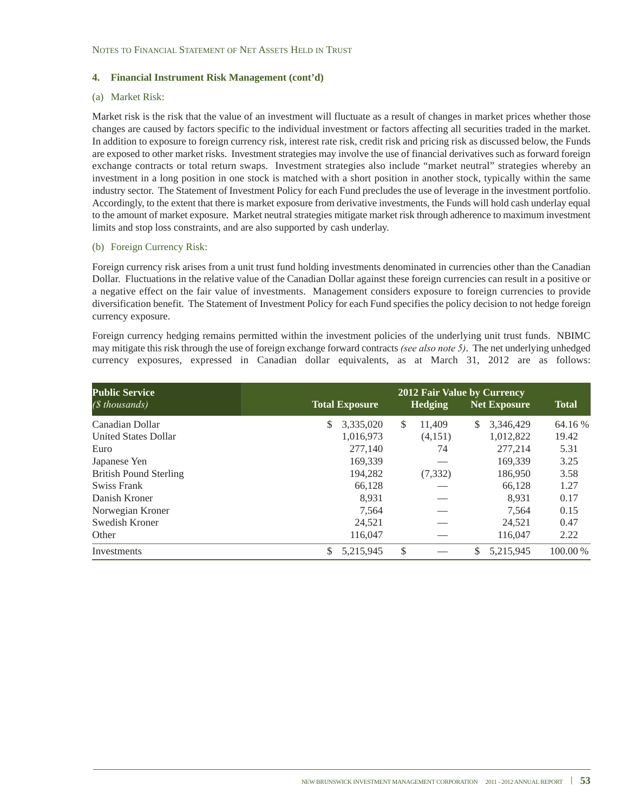#### (a) Market Risk:

Market risk is the risk that the value of an investment will fluctuate as a result of changes in market prices whether those changes are caused by factors specific to the individual investment or factors affecting all securities traded in the market. In addition to exposure to foreign currency risk, interest rate risk, credit risk and pricing risk as discussed below, the Funds are exposed to other market risks. Investment strategies may involve the use of financial derivatives such as forward foreign exchange contracts or total return swaps. Investment strategies also include "market neutral" strategies whereby an investment in a long position in one stock is matched with a short position in another stock, typically within the same industry sector. The Statement of Investment Policy for each Fund precludes the use of leverage in the investment portfolio. Accordingly, to the extent that there is market exposure from derivative investments, the Funds will hold cash underlay equal to the amount of market exposure. Market neutral strategies mitigate market risk through adherence to maximum investment limits and stop loss constraints, and are also supported by cash underlay.

#### (b) Foreign Currency Risk:

Foreign currency risk arises from a unit trust fund holding investments denominated in currencies other than the Canadian Dollar. Fluctuations in the relative value of the Canadian Dollar against these foreign currencies can result in a positive or a negative effect on the fair value of investments. Management considers exposure to foreign currencies to provide diversification benefit. The Statement of Investment Policy for each Fund specifies the policy decision to not hedge foreign currency exposure.

Foreign currency hedging remains permitted within the investment policies of the underlying unit trust funds. NBIMC may mitigate this risk through the use of foreign exchange forward contracts *(see also note 5)*. The net underlying unhedged currency exposures, expressed in Canadian dollar equivalents, as at March 31, 2012 are as follows:

| <b>Public Service</b>         | <b>2012 Fair Value by Currency</b> |                |                     |              |  |  |  |  |  |  |
|-------------------------------|------------------------------------|----------------|---------------------|--------------|--|--|--|--|--|--|
| ( <i>§</i> thousands)         | <b>Total Exposure</b>              | <b>Hedging</b> | <b>Net Exposure</b> | <b>Total</b> |  |  |  |  |  |  |
| Canadian Dollar               | 3,335,020<br>S                     | \$.<br>11,409  | 3.346.429<br>S.     | 64.16 %      |  |  |  |  |  |  |
| <b>United States Dollar</b>   | 1,016,973                          | (4,151)        | 1,012,822           | 19.42        |  |  |  |  |  |  |
| Euro                          | 277,140                            | 74             | 277,214             | 5.31         |  |  |  |  |  |  |
| Japanese Yen                  | 169,339                            |                | 169,339             | 3.25         |  |  |  |  |  |  |
| <b>British Pound Sterling</b> | 194,282                            | (7, 332)       | 186,950             | 3.58         |  |  |  |  |  |  |
| Swiss Frank                   | 66.128                             |                | 66,128              | 1.27         |  |  |  |  |  |  |
| Danish Kroner                 | 8.931                              |                | 8.931               | 0.17         |  |  |  |  |  |  |
| Norwegian Kroner              | 7,564                              |                | 7,564               | 0.15         |  |  |  |  |  |  |
| Swedish Kroner                | 24,521                             |                | 24,521              | 0.47         |  |  |  |  |  |  |
| Other                         | 116,047                            |                | 116,047             | 2.22         |  |  |  |  |  |  |
| Investments                   | 5,215,945<br>S                     | \$             | 5,215,945<br>\$     | 100.00 %     |  |  |  |  |  |  |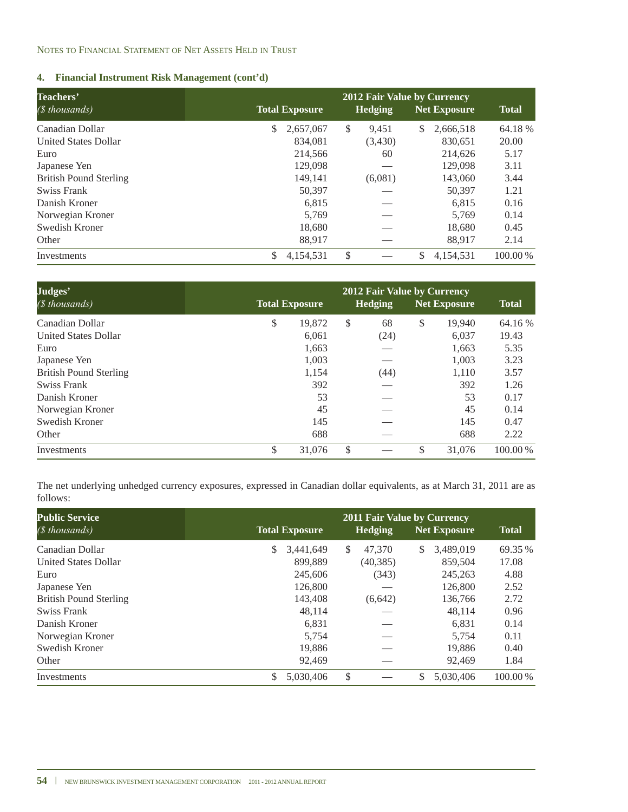| Teachers'                     | <b>2012 Fair Value by Currency</b> |                       |                 |              |  |  |  |  |  |  |
|-------------------------------|------------------------------------|-----------------------|-----------------|--------------|--|--|--|--|--|--|
| (\$ thousands)                | <b>Total Exposure</b>              | Hedging               | Net Exposure    | <b>Total</b> |  |  |  |  |  |  |
| Canadian Dollar               | 2,657,067<br>S.                    | <sup>S</sup><br>9.451 | 2,666,518<br>S  | 64.18 %      |  |  |  |  |  |  |
| <b>United States Dollar</b>   | 834.081                            | (3,430)               | 830,651         | 20.00        |  |  |  |  |  |  |
| Euro                          | 214,566                            | 60                    | 214,626         | 5.17         |  |  |  |  |  |  |
| Japanese Yen                  | 129,098                            |                       | 129,098         | 3.11         |  |  |  |  |  |  |
| <b>British Pound Sterling</b> | 149,141                            | (6,081)               | 143,060         | 3.44         |  |  |  |  |  |  |
| Swiss Frank                   | 50,397                             |                       | 50,397          | 1.21         |  |  |  |  |  |  |
| Danish Kroner                 | 6,815                              |                       | 6,815           | 0.16         |  |  |  |  |  |  |
| Norwegian Kroner              | 5.769                              |                       | 5.769           | 0.14         |  |  |  |  |  |  |
| Swedish Kroner                | 18,680                             |                       | 18,680          | 0.45         |  |  |  |  |  |  |
| Other                         | 88,917                             |                       | 88,917          | 2.14         |  |  |  |  |  |  |
| Investments                   | \$<br>4,154,531                    | S                     | \$<br>4,154,531 | 100.00%      |  |  |  |  |  |  |

| Judges'                       | <b>2012 Fair Value by Currency</b> |                       |    |                |                     |        |              |  |  |  |
|-------------------------------|------------------------------------|-----------------------|----|----------------|---------------------|--------|--------------|--|--|--|
| (\$ thousands)                |                                    | <b>Total Exposure</b> |    | <b>Hedging</b> | <b>Net Exposure</b> |        | <b>Total</b> |  |  |  |
| Canadian Dollar               | \$                                 | 19,872                | S  | 68             | \$                  | 19,940 | 64.16 %      |  |  |  |
| <b>United States Dollar</b>   |                                    | 6,061                 |    | (24)           |                     | 6,037  | 19.43        |  |  |  |
| Euro                          |                                    | 1,663                 |    |                |                     | 1,663  | 5.35         |  |  |  |
| Japanese Yen                  |                                    | 1,003                 |    |                |                     | 1,003  | 3.23         |  |  |  |
| <b>British Pound Sterling</b> |                                    | 1,154                 |    | (44)           |                     | 1,110  | 3.57         |  |  |  |
| Swiss Frank                   |                                    | 392                   |    |                |                     | 392    | 1.26         |  |  |  |
| Danish Kroner                 |                                    | 53                    |    |                |                     | 53     | 0.17         |  |  |  |
| Norwegian Kroner              |                                    | 45                    |    |                |                     | 45     | 0.14         |  |  |  |
| Swedish Kroner                |                                    | 145                   |    |                |                     | 145    | 0.47         |  |  |  |
| Other                         |                                    | 688                   |    |                |                     | 688    | 2.22         |  |  |  |
| Investments                   | \$                                 | 31,076                | \$ |                | \$                  | 31,076 | 100.00 %     |  |  |  |

The net underlying unhedged currency exposures, expressed in Canadian dollar equivalents, as at March 31, 2011 are as follows:

| <b>Public Service</b>         | <b>2011 Fair Value by Currency</b> |                |           |                 |              |  |  |  |  |  |
|-------------------------------|------------------------------------|----------------|-----------|-----------------|--------------|--|--|--|--|--|
| (\$ thousands)                | <b>Total Exposure</b>              | <b>Hedging</b> |           | Net Exposure    | <b>Total</b> |  |  |  |  |  |
| Canadian Dollar               | \$<br>3,441,649                    | \$             | 47,370    | 3,489,019<br>\$ | 69.35 %      |  |  |  |  |  |
| <b>United States Dollar</b>   | 899.889                            |                | (40, 385) | 859,504         | 17.08        |  |  |  |  |  |
| Euro                          | 245,606                            |                | (343)     | 245,263         | 4.88         |  |  |  |  |  |
| Japanese Yen                  | 126,800                            |                |           | 126,800         | 2.52         |  |  |  |  |  |
| <b>British Pound Sterling</b> | 143,408                            |                | (6,642)   | 136,766         | 2.72         |  |  |  |  |  |
| Swiss Frank                   | 48,114                             |                |           | 48,114          | 0.96         |  |  |  |  |  |
| Danish Kroner                 | 6,831                              |                |           | 6.831           | 0.14         |  |  |  |  |  |
| Norwegian Kroner              | 5,754                              |                |           | 5,754           | 0.11         |  |  |  |  |  |
| Swedish Kroner                | 19,886                             |                |           | 19,886          | 0.40         |  |  |  |  |  |
| Other                         | 92,469                             |                |           | 92,469          | 1.84         |  |  |  |  |  |
| Investments                   | \$<br>5,030,406                    | \$             |           | \$<br>5,030,406 | 100.00 %     |  |  |  |  |  |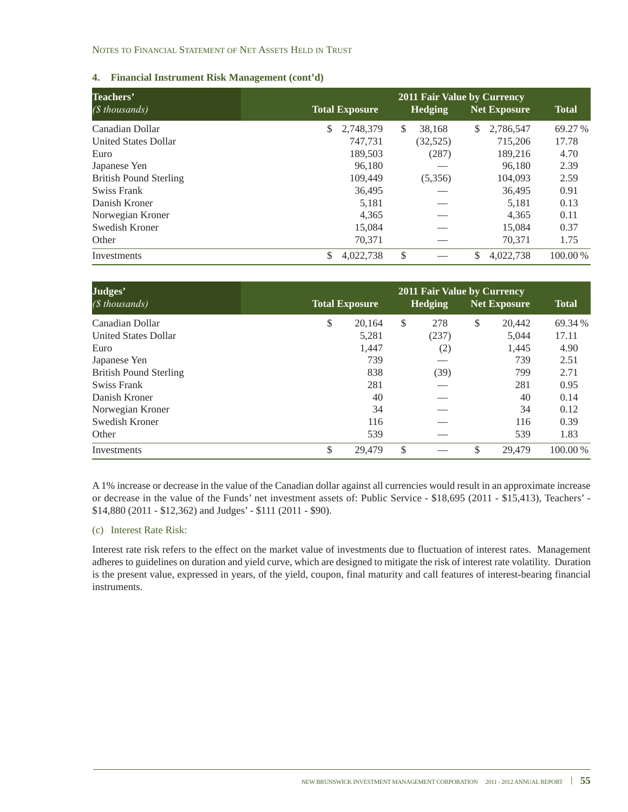#### NOTES TO FINANCIAL STATEMENT OF NET ASSETS HELD IN TRUST

## **4. Financial Instrument Risk Management (cont'd)**

| Teachers'                     | <b>2011 Fair Value by Currency</b> |                       |               |                |    |                     |              |  |  |  |
|-------------------------------|------------------------------------|-----------------------|---------------|----------------|----|---------------------|--------------|--|--|--|
| (\$ thousands)                |                                    | <b>Total Exposure</b> |               | <b>Hedging</b> |    | <b>Net Exposure</b> | <b>Total</b> |  |  |  |
| Canadian Dollar               | \$                                 | 2,748,379             | <sup>\$</sup> | 38.168         | \$ | 2,786,547           | 69.27 %      |  |  |  |
| <b>United States Dollar</b>   |                                    | 747.731               |               | (32,525)       |    | 715,206             | 17.78        |  |  |  |
| Euro                          |                                    | 189,503               |               | (287)          |    | 189,216             | 4.70         |  |  |  |
| Japanese Yen                  |                                    | 96,180                |               |                |    | 96,180              | 2.39         |  |  |  |
| <b>British Pound Sterling</b> |                                    | 109,449               |               | (5,356)        |    | 104,093             | 2.59         |  |  |  |
| Swiss Frank                   |                                    | 36,495                |               |                |    | 36,495              | 0.91         |  |  |  |
| Danish Kroner                 |                                    | 5,181                 |               |                |    | 5,181               | 0.13         |  |  |  |
| Norwegian Kroner              |                                    | 4,365                 |               |                |    | 4,365               | 0.11         |  |  |  |
| Swedish Kroner                |                                    | 15.084                |               |                |    | 15.084              | 0.37         |  |  |  |
| Other                         |                                    | 70,371                |               |                |    | 70,371              | 1.75         |  |  |  |
| Investments                   | \$                                 | 4.022.738             | \$            |                | \$ | 4.022.738           | 100.00 %     |  |  |  |

| Judges'<br>(\$ thousands)     | <b>Total Exposure</b> | <b>2011 Fair Value by Currency</b><br><b>Net Exposure</b><br><b>Hedging</b> |    |        |            |
|-------------------------------|-----------------------|-----------------------------------------------------------------------------|----|--------|------------|
| Canadian Dollar               | \$<br>20.164          | \$<br>278                                                                   | \$ | 20,442 | 69.34 %    |
| <b>United States Dollar</b>   | 5,281                 | (237)                                                                       |    | 5,044  | 17.11      |
| Euro                          | 1,447                 | (2)                                                                         |    | 1,445  | 4.90       |
| Japanese Yen                  | 739                   |                                                                             |    | 739    | 2.51       |
| <b>British Pound Sterling</b> | 838                   | (39)                                                                        |    | 799    | 2.71       |
| Swiss Frank                   | 281                   |                                                                             |    | 281    | 0.95       |
| Danish Kroner                 | 40                    |                                                                             |    | 40     | 0.14       |
| Norwegian Kroner              | 34                    |                                                                             |    | 34     | 0.12       |
| Swedish Kroner                | 116                   |                                                                             |    | 116    | 0.39       |
| Other                         | 539                   |                                                                             |    | 539    | 1.83       |
| Investments                   | \$<br>29,479          | \$                                                                          | \$ | 29.479 | $100.00\%$ |

A 1% increase or decrease in the value of the Canadian dollar against all currencies would result in an approximate increase or decrease in the value of the Funds' net investment assets of: Public Service - \$18,695 (2011 - \$15,413), Teachers' - \$14,880 (2011 - \$12,362) and Judges' - \$111 (2011 - \$90).

#### (c) Interest Rate Risk:

Interest rate risk refers to the effect on the market value of investments due to fluctuation of interest rates. Management adheres to guidelines on duration and yield curve, which are designed to mitigate the risk of interest rate volatility. Duration is the present value, expressed in years, of the yield, coupon, final maturity and call features of interest-bearing financial instruments.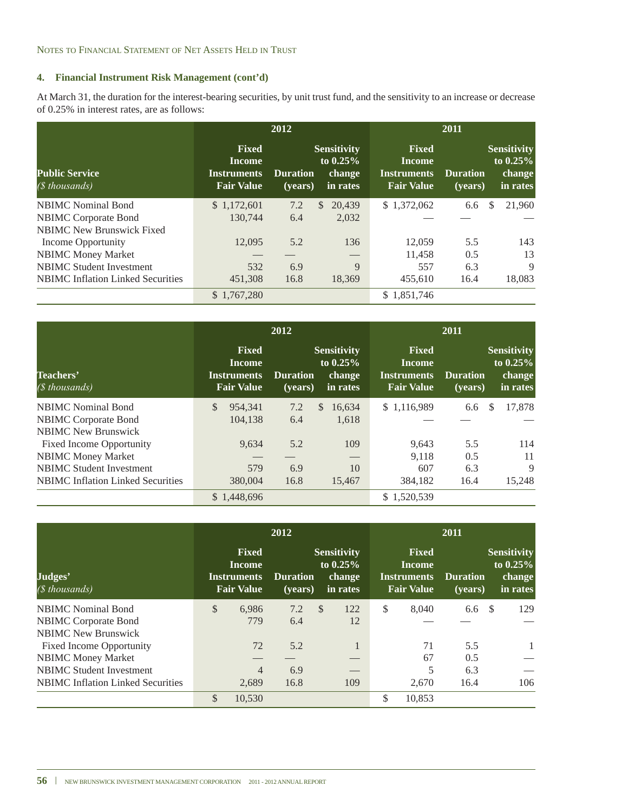At March 31, the duration for the interest-bearing securities, by unit trust fund, and the sensitivity to an increase or decrease of 0.25% in interest rates, are as follows:

|                                          |                                                                          | 2012                       |                                                        | 2011                                                                     |                            |                                                        |  |
|------------------------------------------|--------------------------------------------------------------------------|----------------------------|--------------------------------------------------------|--------------------------------------------------------------------------|----------------------------|--------------------------------------------------------|--|
| <b>Public Service</b><br>(\$ thousands)  | <b>Fixed</b><br><b>Income</b><br><b>Instruments</b><br><b>Fair Value</b> | <b>Duration</b><br>(vears) | <b>Sensitivity</b><br>to $0.25%$<br>change<br>in rates | <b>Fixed</b><br><b>Income</b><br><b>Instruments</b><br><b>Fair Value</b> | <b>Duration</b><br>(years) | <b>Sensitivity</b><br>to $0.25%$<br>change<br>in rates |  |
| <b>NBIMC</b> Nominal Bond                | \$1,172,601                                                              | 7.2                        | 20,439<br>\$                                           | \$1,372,062                                                              | 6.6                        | 21,960<br>S                                            |  |
| <b>NBIMC</b> Corporate Bond              | 130,744                                                                  | 6.4                        | 2,032                                                  |                                                                          |                            |                                                        |  |
| <b>NBIMC</b> New Brunswick Fixed         |                                                                          |                            |                                                        |                                                                          |                            |                                                        |  |
| Income Opportunity                       | 12,095                                                                   | 5.2                        | 136                                                    | 12,059                                                                   | 5.5                        | 143                                                    |  |
| <b>NBIMC Money Market</b>                |                                                                          |                            | $-$                                                    | 11.458                                                                   | 0.5                        | 13                                                     |  |
| <b>NBIMC</b> Student Investment          | 532                                                                      | 6.9                        | 9                                                      | 557                                                                      | 6.3                        | 9                                                      |  |
| <b>NBIMC</b> Inflation Linked Securities | 451,308                                                                  | 16.8                       | 18,369                                                 | 455,610                                                                  | 16.4                       | 18,083                                                 |  |
|                                          | \$1,767,280                                                              |                            |                                                        | \$1.851.746                                                              |                            |                                                        |  |

|                                          |                                                                          | 2012                       |                                                        | 2011                                                                     |                            |                                                        |  |
|------------------------------------------|--------------------------------------------------------------------------|----------------------------|--------------------------------------------------------|--------------------------------------------------------------------------|----------------------------|--------------------------------------------------------|--|
| Teachers'<br>(\$ thousands)              | <b>Fixed</b><br><b>Income</b><br><b>Instruments</b><br><b>Fair Value</b> | <b>Duration</b><br>(vears) | <b>Sensitivity</b><br>to $0.25%$<br>change<br>in rates | <b>Fixed</b><br><b>Income</b><br><b>Instruments</b><br><b>Fair Value</b> | <b>Duration</b><br>(vears) | <b>Sensitivity</b><br>to $0.25%$<br>change<br>in rates |  |
| <b>NBIMC</b> Nominal Bond                | \$<br>954,341                                                            | 7.2                        | <sup>\$</sup><br>16,634                                | \$1,116,989                                                              | 6.6                        | 17,878<br>S                                            |  |
| <b>NBIMC</b> Corporate Bond              | 104,138                                                                  | 6.4                        | 1,618                                                  |                                                                          |                            |                                                        |  |
| <b>NBIMC</b> New Brunswick               |                                                                          |                            |                                                        |                                                                          |                            |                                                        |  |
| <b>Fixed Income Opportunity</b>          | 9,634                                                                    | 5.2                        | 109                                                    | 9.643                                                                    | 5.5                        | 114                                                    |  |
| <b>NBIMC Money Market</b>                |                                                                          |                            | $\hspace{0.1cm}$                                       | 9.118                                                                    | 0.5                        | 11                                                     |  |
| <b>NBIMC</b> Student Investment          | 579                                                                      | 6.9                        | 10                                                     | 607                                                                      | 6.3                        | 9                                                      |  |
| <b>NBIMC</b> Inflation Linked Securities | 380,004                                                                  | 16.8                       | 15,467                                                 | 384,182                                                                  | 16.4                       | 15,248                                                 |  |
|                                          | \$1,448,696                                                              |                            |                                                        | \$1,520,539                                                              |                            |                                                        |  |

|                                          |                                                                          | 2012                       |                                                        | 2011                                                                     |                            |                                                         |  |  |
|------------------------------------------|--------------------------------------------------------------------------|----------------------------|--------------------------------------------------------|--------------------------------------------------------------------------|----------------------------|---------------------------------------------------------|--|--|
| Judges'<br>(\$ thousands)                | <b>Fixed</b><br><b>Income</b><br><b>Instruments</b><br><b>Fair Value</b> | <b>Duration</b><br>(years) | <b>Sensitivity</b><br>to $0.25%$<br>change<br>in rates | <b>Fixed</b><br><b>Income</b><br><b>Instruments</b><br><b>Fair Value</b> | <b>Duration</b><br>(vears) | <b>Sensitivity</b><br>to $0.25\%$<br>change<br>in rates |  |  |
| <b>NBIMC</b> Nominal Bond                | \$<br>6.986                                                              | 7.2                        | $\mathcal{S}$<br>122                                   | \$<br>8.040                                                              | 6.6 <sup>°</sup>           | 129                                                     |  |  |
| <b>NBIMC</b> Corporate Bond              | 779                                                                      | 6.4                        | 12                                                     |                                                                          |                            |                                                         |  |  |
| <b>NBIMC</b> New Brunswick               |                                                                          |                            |                                                        |                                                                          |                            |                                                         |  |  |
| <b>Fixed Income Opportunity</b>          | 72                                                                       | 5.2                        | $\mathbf{1}$                                           | 71                                                                       | 5.5                        | 1                                                       |  |  |
| <b>NBIMC Money Market</b>                |                                                                          |                            |                                                        | 67                                                                       | 0.5                        |                                                         |  |  |
| <b>NBIMC</b> Student Investment          | $\overline{4}$                                                           | 6.9                        |                                                        | 5                                                                        | 6.3                        |                                                         |  |  |
| <b>NBIMC</b> Inflation Linked Securities | 2,689                                                                    | 16.8                       | 109                                                    | 2,670                                                                    | 16.4                       | 106                                                     |  |  |
|                                          | \$<br>10,530                                                             |                            |                                                        | \$<br>10,853                                                             |                            |                                                         |  |  |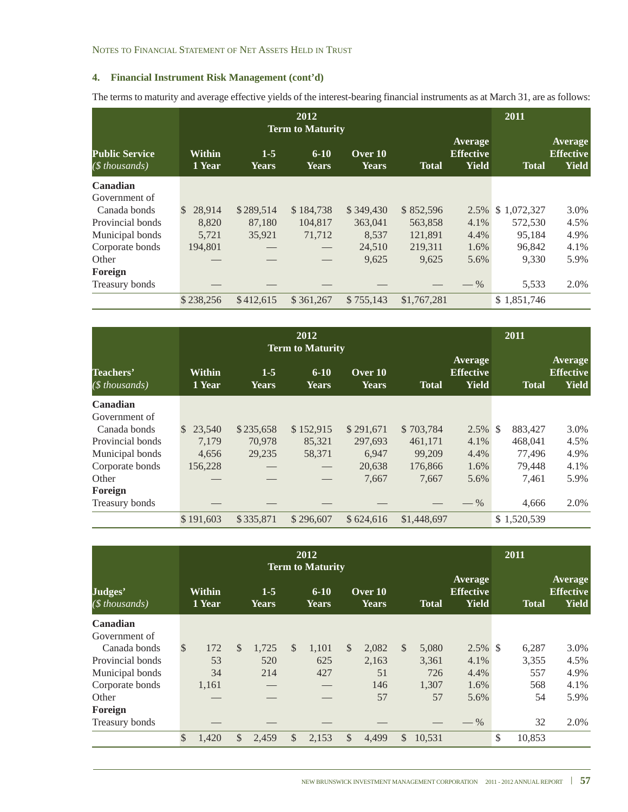The terms to maturity and average effective yields of the interest-bearing financial instruments as at March 31, are as follows:

|                                          |                  |                       | 2012<br><b>Term to Maturity</b> |                         |              | 2011                                        |              |                                                    |
|------------------------------------------|------------------|-----------------------|---------------------------------|-------------------------|--------------|---------------------------------------------|--------------|----------------------------------------------------|
| <b>Public Service</b><br>$($$ thousands) | Within<br>1 Year | $1-5$<br><b>Years</b> | $6 - 10$<br><b>Years</b>        | Over 10<br><b>Years</b> | <b>Total</b> | Average<br><b>Effective</b><br><b>Yield</b> | <b>Total</b> | <b>Average</b><br><b>Effective</b><br><b>Yield</b> |
| Canadian                                 |                  |                       |                                 |                         |              |                                             |              |                                                    |
| Government of                            |                  |                       |                                 |                         |              |                                             |              |                                                    |
| Canada bonds                             | 28.914<br>\$     | \$289,514             | \$184,738                       | \$349,430               | \$852,596    | 2.5%                                        | \$1,072,327  | 3.0%                                               |
| Provincial bonds                         | 8,820            | 87,180                | 104,817                         | 363,041                 | 563,858      | 4.1%                                        | 572,530      | 4.5%                                               |
| Municipal bonds                          | 5.721            | 35,921                | 71,712                          | 8,537                   | 121.891      | 4.4%                                        | 95.184       | 4.9%                                               |
| Corporate bonds                          | 194.801          |                       |                                 | 24.510                  | 219,311      | 1.6%                                        | 96,842       | 4.1%                                               |
| Other                                    |                  |                       |                                 | 9,625                   | 9,625        | 5.6%                                        | 9,330        | 5.9%                                               |
| Foreign                                  |                  |                       |                                 |                         |              |                                             |              |                                                    |
| Treasury bonds                           |                  |                       |                                 |                         |              | $-$ %                                       | 5,533        | 2.0%                                               |
|                                          | \$238,256        | \$412,615             | \$361,267                       | \$755,143               | \$1,767,281  |                                             | \$1,851,746  |                                                    |

|                              |                  |                       | 2012<br><b>Term to Maturity</b> |                         |              |                                             | 2011                     |                                             |  |  |  |
|------------------------------|------------------|-----------------------|---------------------------------|-------------------------|--------------|---------------------------------------------|--------------------------|---------------------------------------------|--|--|--|
| Teachers'<br>$($$ thousands) | Within<br>1 Year | $1-5$<br><b>Years</b> | $6 - 10$<br><b>Years</b>        | Over 10<br><b>Years</b> | <b>Total</b> | Average<br><b>Effective</b><br><b>Yield</b> | <b>Total</b>             | Average<br><b>Effective</b><br><b>Yield</b> |  |  |  |
| Canadian                     |                  |                       |                                 |                         |              |                                             |                          |                                             |  |  |  |
| Government of                |                  |                       |                                 |                         |              |                                             |                          |                                             |  |  |  |
| Canada bonds                 | 23,540<br>S.     | \$235,658             | \$152,915                       | \$291,671               | \$703,784    | 2.5%                                        | <sup>\$</sup><br>883,427 | 3.0%                                        |  |  |  |
| Provincial bonds             | 7.179            | 70.978                | 85,321                          | 297.693                 | 461.171      | 4.1%                                        | 468,041                  | 4.5%                                        |  |  |  |
| Municipal bonds              | 4,656            | 29,235                | 58,371                          | 6,947                   | 99,209       | 4.4%                                        | 77,496                   | 4.9%                                        |  |  |  |
| Corporate bonds              | 156,228          |                       |                                 | 20,638                  | 176,866      | 1.6%                                        | 79.448                   | 4.1%                                        |  |  |  |
| Other                        |                  |                       |                                 | 7,667                   | 7,667        | 5.6%                                        | 7,461                    | 5.9%                                        |  |  |  |
| Foreign                      |                  |                       |                                 |                         |              |                                             |                          |                                             |  |  |  |
| Treasury bonds               |                  |                       |                                 |                         |              | $-$ %                                       | 4,666                    | 2.0%                                        |  |  |  |
|                              | \$191,603        | \$335,871             | \$296,607                       | \$624.616               | \$1,448,697  |                                             | \$1,520,539              |                                             |  |  |  |

|                            | 2012<br><b>Term to Maturity</b> |                  |    |                       |              |                          |               |                         |              | 2011         |                                             |    |              |                                                    |  |
|----------------------------|---------------------------------|------------------|----|-----------------------|--------------|--------------------------|---------------|-------------------------|--------------|--------------|---------------------------------------------|----|--------------|----------------------------------------------------|--|
| Judges'<br>$($$ thousands) |                                 | Within<br>1 Year |    | $1-5$<br><b>Years</b> |              | $6 - 10$<br><b>Years</b> |               | Over 10<br><b>Years</b> |              | <b>Total</b> | Average<br><b>Effective</b><br><b>Yield</b> |    | <b>Total</b> | <b>Average</b><br><b>Effective</b><br><b>Yield</b> |  |
| Canadian                   |                                 |                  |    |                       |              |                          |               |                         |              |              |                                             |    |              |                                                    |  |
| Government of              |                                 |                  |    |                       |              |                          |               |                         |              |              |                                             |    |              |                                                    |  |
| Canada bonds               | $\mathcal{S}$                   | 172              | \$ | 1,725                 | $\mathbb{S}$ | 1,101                    | $\mathcal{S}$ | 2,082                   | $\mathbb{S}$ | 5,080        | $2.5\%$ \$                                  |    | 6,287        | 3.0%                                               |  |
| Provincial bonds           |                                 | 53               |    | 520                   |              | 625                      |               | 2,163                   |              | 3,361        | 4.1%                                        |    | 3,355        | 4.5%                                               |  |
| Municipal bonds            |                                 | 34               |    | 214                   |              | 427                      |               | 51                      |              | 726          | 4.4%                                        |    | 557          | 4.9%                                               |  |
| Corporate bonds            |                                 | 1,161            |    |                       |              |                          |               | 146                     |              | 1,307        | 1.6%                                        |    | 568          | 4.1%                                               |  |
| Other                      |                                 |                  |    |                       |              |                          |               | 57                      |              | 57           | 5.6%                                        |    | 54           | 5.9%                                               |  |
| Foreign                    |                                 |                  |    |                       |              |                          |               |                         |              |              |                                             |    |              |                                                    |  |
| Treasury bonds             |                                 |                  |    |                       |              |                          |               |                         |              |              | $-$ %                                       |    | 32           | 2.0%                                               |  |
|                            | $\mathcal{S}$                   | 1,420            | \$ | 2,459                 | \$           | 2,153                    | \$            | 4,499                   | \$           | 10,531       |                                             | \$ | 10,853       |                                                    |  |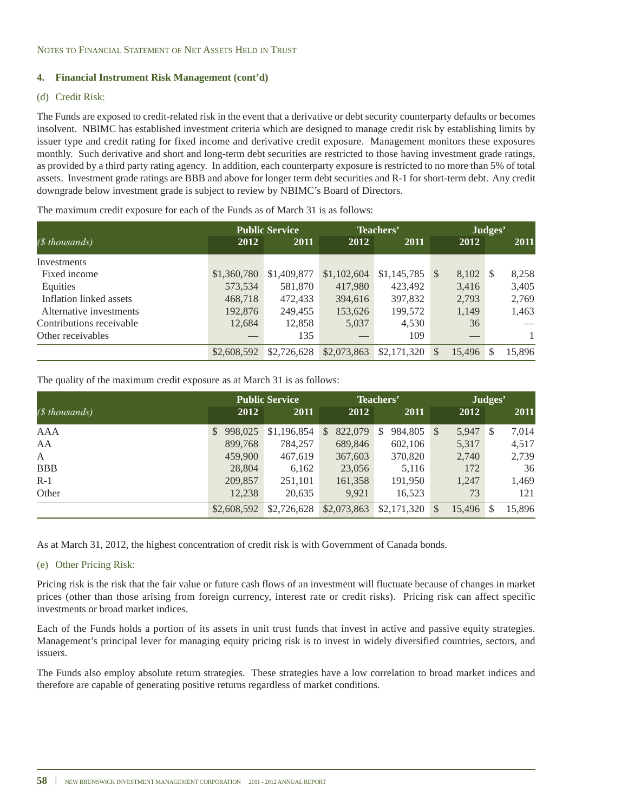#### (d) Credit Risk:

The Funds are exposed to credit-related risk in the event that a derivative or debt security counterparty defaults or becomes insolvent. NBIMC has established investment criteria which are designed to manage credit risk by establishing limits by issuer type and credit rating for fixed income and derivative credit exposure. Management monitors these exposures monthly. Such derivative and short and long-term debt securities are restricted to those having investment grade ratings, as provided by a third party rating agency. In addition, each counterparty exposure is restricted to no more than 5% of total assets. Investment grade ratings are BBB and above for longer term debt securities and R-1 for short-term debt. Any credit downgrade below investment grade is subject to review by NBIMC's Board of Directors.

The maximum credit exposure for each of the Funds as of March 31 is as follows:

|                          |             | <b>Public Service</b> |             | Teachers'   | Judges'                |               |       |  |
|--------------------------|-------------|-----------------------|-------------|-------------|------------------------|---------------|-------|--|
| (\$ thousands)           | 2012        | <b>2011</b>           | 2012        | 2011        | 2012                   |               | 2011  |  |
| Investments              |             |                       |             |             |                        |               |       |  |
| Fixed income             | \$1,360,780 | \$1,409,877           | \$1,102,604 | \$1,145,785 | 8,102<br>$\mathcal{S}$ | <sup>\$</sup> | 8,258 |  |
| Equities                 | 573,534     | 581,870               | 417,980     | 423,492     | 3,416                  |               | 3,405 |  |
| Inflation linked assets  | 468,718     | 472,433               | 394,616     | 397,832     | 2,793                  |               | 2,769 |  |
| Alternative investments  | 192,876     | 249,455               | 153,626     | 199,572     | 1,149                  |               | 1,463 |  |
| Contributions receivable | 12,684      | 12,858                | 5,037       | 4,530       | 36                     |               |       |  |
| Other receivables        | __          | 135                   |             | 109         | __                     |               | 1     |  |
|                          | \$2,608,592 | \$2,726,628           | \$2,073,863 | \$2,171,320 | 15.496<br>\$           | 15,896<br>\$. |       |  |

The quality of the maximum credit exposure as at March 31 is as follows:

|                |                         | <b>Public Service</b> |              |             | Teachers'    |               | Judges'      |    |        |  |
|----------------|-------------------------|-----------------------|--------------|-------------|--------------|---------------|--------------|----|--------|--|
| (\$ thousands) | 2012                    | <b>2011</b>           |              | 2012        | 2011         |               | 2012         |    | 2011   |  |
| AAA            | 998,025<br><sup>S</sup> | \$1,196,854           | $\mathbb{S}$ | 822,079     | 984,805<br>S | $\mathcal{S}$ | 5,947        | \$ | 7,014  |  |
| AA             | 899,768                 | 784,257               |              | 689,846     | 602,106      |               | 5,317        |    | 4,517  |  |
| A              | 459,900                 | 467,619               |              | 367,603     | 370,820      |               | 2,740        |    | 2,739  |  |
| <b>BBB</b>     | 28,804                  | 6,162                 |              | 23,056      | 5,116        |               | 172          |    | 36     |  |
| $R-1$          | 209,857                 | 251,101               |              | 161,358     | 191,950      |               | 1.247        |    | 1,469  |  |
| Other          | 12,238                  | 20,635                |              | 9,921       | 16,523       |               | 73           |    | 121    |  |
|                | \$2,608,592             | \$2,726,628           |              | \$2,073,863 | \$2,171,320  |               | 15,496<br>\$ | S  | 15,896 |  |

As at March 31, 2012, the highest concentration of credit risk is with Government of Canada bonds.

#### (e) Other Pricing Risk:

Pricing risk is the risk that the fair value or future cash flows of an investment will fluctuate because of changes in market prices (other than those arising from foreign currency, interest rate or credit risks). Pricing risk can affect specific investments or broad market indices.

Each of the Funds holds a portion of its assets in unit trust funds that invest in active and passive equity strategies. Management's principal lever for managing equity pricing risk is to invest in widely diversified countries, sectors, and issuers.

The Funds also employ absolute return strategies. These strategies have a low correlation to broad market indices and therefore are capable of generating positive returns regardless of market conditions.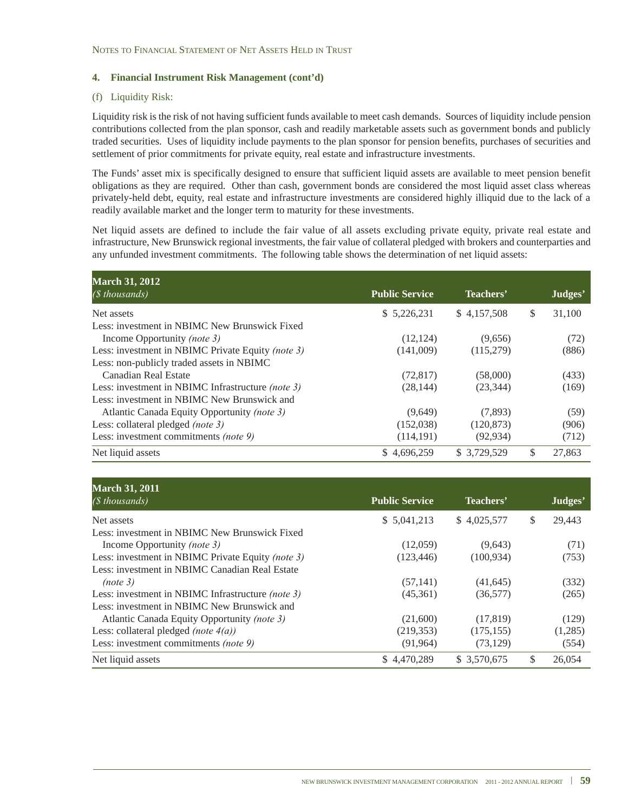#### (f) Liquidity Risk:

Liquidity risk is the risk of not having sufficient funds available to meet cash demands. Sources of liquidity include pension contributions collected from the plan sponsor, cash and readily marketable assets such as government bonds and publicly traded securities. Uses of liquidity include payments to the plan sponsor for pension benefits, purchases of securities and settlement of prior commitments for private equity, real estate and infrastructure investments.

The Funds' asset mix is specifically designed to ensure that sufficient liquid assets are available to meet pension benefit obligations as they are required. Other than cash, government bonds are considered the most liquid asset class whereas privately-held debt, equity, real estate and infrastructure investments are considered highly illiquid due to the lack of a readily available market and the longer term to maturity for these investments.

Net liquid assets are defined to include the fair value of all assets excluding private equity, private real estate and infrastructure, New Brunswick regional investments, the fair value of collateral pledged with brokers and counterparties and any unfunded investment commitments. The following table shows the determination of net liquid assets:

| <b>March 31, 2012</b>                             |                       |             |    |         |
|---------------------------------------------------|-----------------------|-------------|----|---------|
| (\$ thousands)                                    | <b>Public Service</b> | Teachers'   |    | Judges' |
| Net assets                                        | \$5,226,231           | \$4,157,508 | S  | 31,100  |
| Less: investment in NBIMC New Brunswick Fixed     |                       |             |    |         |
| Income Opportunity <i>(note 3)</i>                | (12, 124)             | (9,656)     |    | (72)    |
| Less: investment in NBIMC Private Equity (note 3) | (141,009)             | (115,279)   |    | (886)   |
| Less: non-publicly traded assets in NBIMC         |                       |             |    |         |
| Canadian Real Estate                              | (72, 817)             | (58,000)    |    | (433)   |
| Less: investment in NBIMC Infrastructure (note 3) | (28, 144)             | (23, 344)   |    | (169)   |
| Less: investment in NBIMC New Brunswick and       |                       |             |    |         |
| Atlantic Canada Equity Opportunity (note 3)       | (9,649)               | (7,893)     |    | (59)    |
| Less: collateral pledged (note 3)                 | (152,038)             | (120, 873)  |    | (906)   |
| Less: investment commitments (note 9)             | (114, 191)            | (92, 934)   |    | (712)   |
| Net liquid assets                                 | \$4,696,259           | \$3,729,529 | \$ | 27,863  |

| <b>March 31, 2011</b>                             |                       |              |              |
|---------------------------------------------------|-----------------------|--------------|--------------|
| (\$ thousands)                                    | <b>Public Service</b> | Teachers'    | Judges'      |
| Net assets                                        | \$ 5,041,213          | \$4,025,577  | \$<br>29,443 |
| Less: investment in NBIMC New Brunswick Fixed     |                       |              |              |
| Income Opportunity (note 3)                       | (12,059)              | (9,643)      | (71)         |
| Less: investment in NBIMC Private Equity (note 3) | (123, 446)            | (100, 934)   | (753)        |
| Less: investment in NBIMC Canadian Real Estate    |                       |              |              |
| (note 3)                                          | (57, 141)             | (41, 645)    | (332)        |
| Less: investment in NBIMC Infrastructure (note 3) | (45,361)              | (36,577)     | (265)        |
| Less: investment in NBIMC New Brunswick and       |                       |              |              |
| Atlantic Canada Equity Opportunity (note 3)       | (21,600)              | (17, 819)    | (129)        |
| Less: collateral pledged (note $4(a)$ )           | (219, 353)            | (175, 155)   | (1,285)      |
| Less: investment commitments (note 9)             | (91, 964)             | (73, 129)    | (554)        |
| Net liquid assets                                 | \$4,470,289           | \$ 3,570,675 | \$<br>26,054 |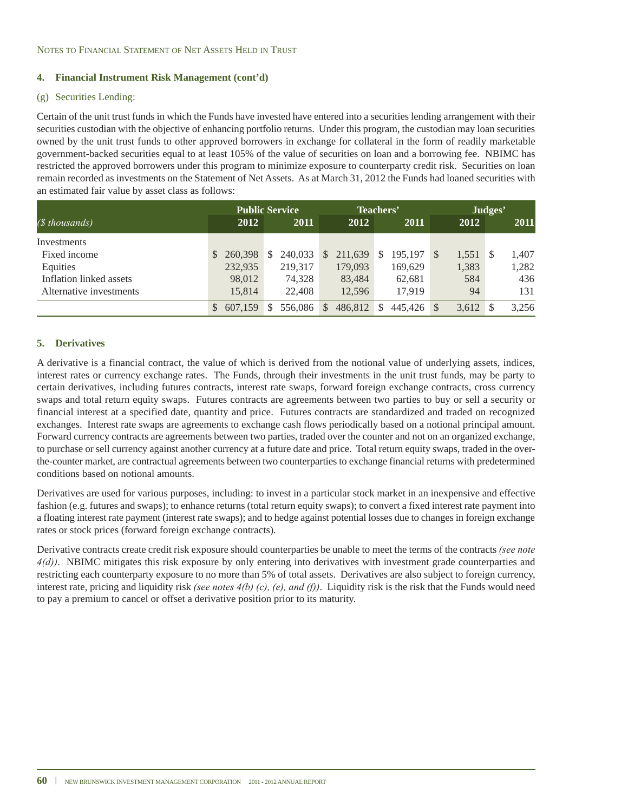#### (g) Securities Lending:

Certain of the unit trust funds in which the Funds have invested have entered into a securities lending arrangement with their securities custodian with the objective of enhancing portfolio returns. Under this program, the custodian may loan securities owned by the unit trust funds to other approved borrowers in exchange for collateral in the form of readily marketable government-backed securities equal to at least 105% of the value of securities on loan and a borrowing fee. NBIMC has restricted the approved borrowers under this program to minimize exposure to counterparty credit risk. Securities on loan remain recorded as investments on the Statement of Net Assets. As at March 31, 2012 the Funds had loaned securities with an estimated fair value by asset class as follows:

|                         | <b>Public Service</b> |         |  |             | Teachers'    |         |               |            |  | Judges'    |  |       |  |
|-------------------------|-----------------------|---------|--|-------------|--------------|---------|---------------|------------|--|------------|--|-------|--|
| (\$ thousands)          |                       | 2012    |  | <b>2011</b> |              | 2012    |               | 2011       |  | 2012       |  | 2011  |  |
| Investments             |                       |         |  |             |              |         |               |            |  |            |  |       |  |
| Fixed income            | <sup>S</sup>          | 260,398 |  | 240,033     | $\mathbb{S}$ | 211,639 | S             | 195,197 \$ |  | $1,551$ \$ |  | 1,407 |  |
| Equities                |                       | 232,935 |  | 219,317     |              | 179,093 |               | 169,629    |  | 1,383      |  | 1,282 |  |
| Inflation linked assets |                       | 98,012  |  | 74.328      |              | 83,484  |               | 62,681     |  | 584        |  | 436   |  |
| Alternative investments |                       | 15.814  |  | 22,408      |              | 12.596  |               | 17.919     |  | 94         |  | 131   |  |
|                         | S.                    | 607,159 |  | 556,086     | $\mathbb{S}$ | 486,812 | <sup>\$</sup> | 445.426 \$ |  | 3,612      |  | 3,256 |  |

#### **5. Derivatives**

A derivative is a financial contract, the value of which is derived from the notional value of underlying assets, indices, interest rates or currency exchange rates. The Funds, through their investments in the unit trust funds, may be party to certain derivatives, including futures contracts, interest rate swaps, forward foreign exchange contracts, cross currency swaps and total return equity swaps. Futures contracts are agreements between two parties to buy or sell a security or financial interest at a specified date, quantity and price. Futures contracts are standardized and traded on recognized exchanges. Interest rate swaps are agreements to exchange cash flows periodically based on a notional principal amount. Forward currency contracts are agreements between two parties, traded over the counter and not on an organized exchange, to purchase or sell currency against another currency at a future date and price. Total return equity swaps, traded in the overthe-counter market, are contractual agreements between two counterparties to exchange financial returns with predetermined conditions based on notional amounts.

Derivatives are used for various purposes, including: to invest in a particular stock market in an inexpensive and effective fashion (e.g. futures and swaps); to enhance returns (total return equity swaps); to convert a fixed interest rate payment into a floating interest rate payment (interest rate swaps); and to hedge against potential losses due to changes in foreign exchange rates or stock prices (forward foreign exchange contracts).

Derivative contracts create credit risk exposure should counterparties be unable to meet the terms of the contracts *(see note 4(d))*. NBIMC mitigates this risk exposure by only entering into derivatives with investment grade counterparties and restricting each counterparty exposure to no more than 5% of total assets. Derivatives are also subject to foreign currency, interest rate, pricing and liquidity risk *(see notes 4(b) (c), (e), and (f))*. Liquidity risk is the risk that the Funds would need to pay a premium to cancel or offset a derivative position prior to its maturity.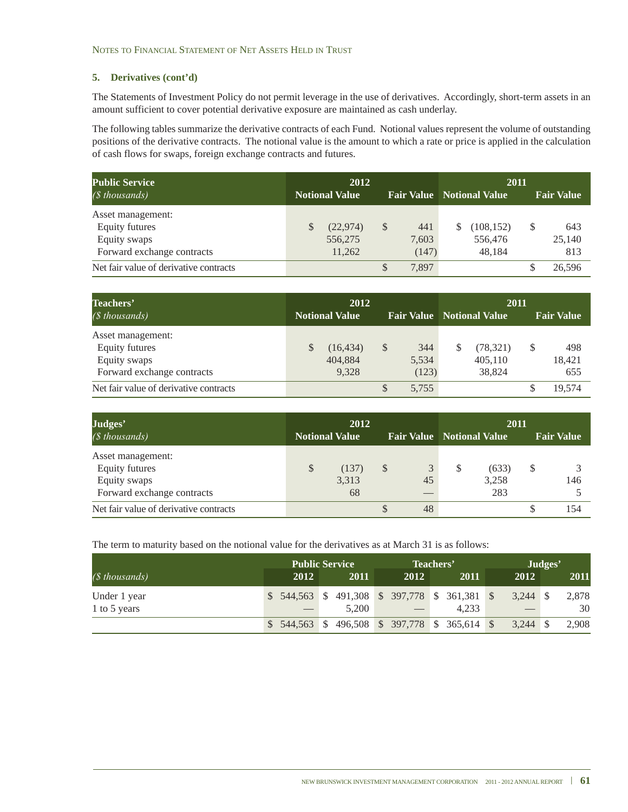### **5. Derivatives (cont'd)**

The Statements of Investment Policy do not permit leverage in the use of derivatives. Accordingly, short-term assets in an amount sufficient to cover potential derivative exposure are maintained as cash underlay.

The following tables summarize the derivative contracts of each Fund. Notional values represent the volume of outstanding positions of the derivative contracts. The notional value is the amount to which a rate or price is applied in the calculation of cash flows for swaps, foreign exchange contracts and futures.

| <b>Public Service</b>                  | 2012                  |    |                                  | 2011 |            |   |                   |  |
|----------------------------------------|-----------------------|----|----------------------------------|------|------------|---|-------------------|--|
| ( <i>§</i> thousands)                  | <b>Notional Value</b> |    | <b>Fair Value</b> Notional Value |      |            |   | <b>Fair Value</b> |  |
| Asset management:                      |                       |    |                                  |      |            |   |                   |  |
| Equity futures                         | (22, 974)             | \$ | 441                              | S    | (108, 152) | S | 643               |  |
| Equity swaps                           | 556,275               |    | 7,603                            |      | 556,476    |   | 25,140            |  |
| Forward exchange contracts             | 11,262                |    | (147)                            |      | 48.184     |   | 813               |  |
| Net fair value of derivative contracts |                       | S  | 7.897                            |      |            |   | 26,596            |  |

| Teachers'                              | 2012                  |    |       | 2011 |                                  |    |                   |  |  |
|----------------------------------------|-----------------------|----|-------|------|----------------------------------|----|-------------------|--|--|
| (\$ thousands)                         | <b>Notional Value</b> |    |       |      | <b>Fair Value</b> Notional Value |    | <b>Fair Value</b> |  |  |
| Asset management:                      |                       |    |       |      |                                  |    |                   |  |  |
| Equity futures                         | (16, 434)             | \$ | 344   |      | (78, 321)                        | \$ | 498               |  |  |
| Equity swaps                           | 404,884               |    | 5,534 |      | 405,110                          |    | 18,421            |  |  |
| Forward exchange contracts             | 9.328                 |    | (123) |      | 38,824                           |    | 655               |  |  |
| Net fair value of derivative contracts |                       | S  | 5,755 |      |                                  | S  | 19.574            |  |  |

| Judges'                                | 2012                  |               |                                  | 2011 |       |    |                   |  |  |
|----------------------------------------|-----------------------|---------------|----------------------------------|------|-------|----|-------------------|--|--|
| $(S$ thousands)                        | <b>Notional Value</b> |               | <b>Fair Value</b> Notional Value |      |       |    | <b>Fair Value</b> |  |  |
| Asset management:                      |                       |               |                                  |      |       |    |                   |  |  |
| Equity futures                         | (137)                 | $\mathcal{S}$ |                                  |      | (633) | \$ |                   |  |  |
| Equity swaps                           | 3,313                 |               | 45                               |      | 3,258 |    | 146               |  |  |
| Forward exchange contracts             | 68                    |               | __                               |      | 283   |    |                   |  |  |
| Net fair value of derivative contracts |                       | <sup>\$</sup> | 48                               |      |       |    | 154               |  |  |

The term to maturity based on the notional value for the derivatives as at March 31 is as follows:

|                | <b>Public Service</b> |      |  |                                                 | Teachers' |      |  |       | Judges' |                          |  |       |  |
|----------------|-----------------------|------|--|-------------------------------------------------|-----------|------|--|-------|---------|--------------------------|--|-------|--|
| (\$ thousands) |                       | 2012 |  | 2011                                            |           | 2012 |  | 2011  |         | 2012                     |  | 2011  |  |
| Under 1 year   |                       |      |  | $$544,563$ $$491,308$ $$397,778$ $$361,381$ $$$ |           |      |  |       |         | $3.244 \quad $$          |  | 2,878 |  |
| 1 to 5 years   |                       |      |  | 5.200                                           |           |      |  | 4.233 |         | $\overline{\phantom{a}}$ |  | 30    |  |
|                |                       |      |  | $$544,563$ $$496,508$ $$397,778$ $$365,614$ $$$ |           |      |  |       |         | $3.244 \quad $$          |  | 2.908 |  |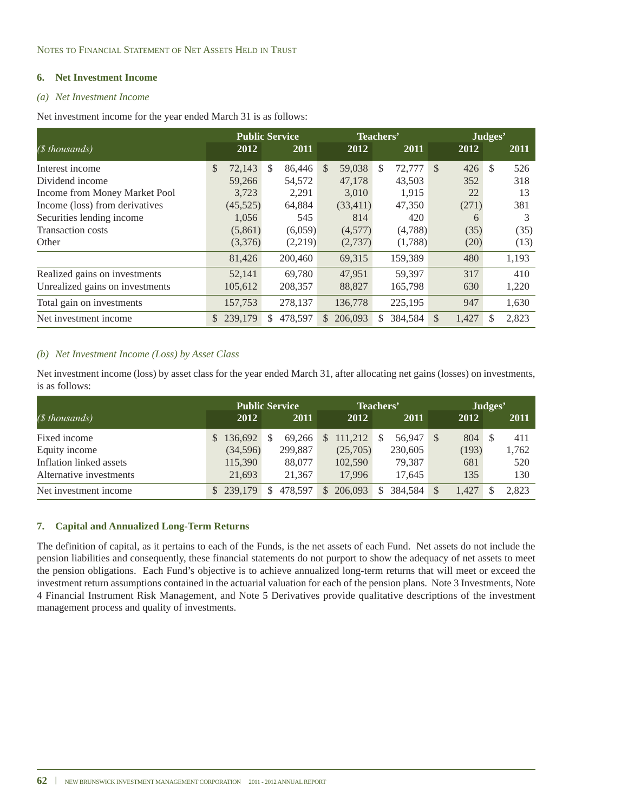#### **6. Net Investment Income**

#### *(a) Net Investment Income*

Net investment income for the year ended March 31 is as follows:

|                                 | <b>Public Service</b>    |               |                          | Teachers'               | Judges'               |                      |  |
|---------------------------------|--------------------------|---------------|--------------------------|-------------------------|-----------------------|----------------------|--|
| (\$ thousands)                  | 2012                     | 2011          | 2012                     | 2011                    | 2012                  | 2011                 |  |
| Interest income                 | 72,143<br><sup>\$</sup>  | 86,446<br>\$. | 59,038<br><sup>\$</sup>  | 72,777<br><sup>\$</sup> | 426<br>$\mathcal{S}$  | <sup>\$</sup><br>526 |  |
| Dividend income                 | 59,266                   | 54,572        | 47,178                   | 43,503                  | 352                   | 318                  |  |
| Income from Money Market Pool   | 3.723                    | 2.291         | 3.010                    | 1,915                   | 22                    | 13                   |  |
| Income (loss) from derivatives  | (45, 525)                | 64,884        | (33, 411)                | 47,350                  | (271)                 | 381                  |  |
| Securities lending income       | 1,056                    | 545           | 814                      | 420                     | 6                     | 3                    |  |
| <b>Transaction costs</b>        | (5,861)                  | (6,059)       | (4,577)                  | (4,788)                 | (35)                  | (35)                 |  |
| Other                           | (3,376)                  | (2,219)       | (2,737)                  | (1,788)                 | (20)                  | (13)                 |  |
|                                 | 81,426                   | 200,460       | 69,315                   | 159,389                 | 480                   | 1,193                |  |
| Realized gains on investments   | 52,141                   | 69,780        | 47.951                   | 59.397                  | 317                   | 410                  |  |
| Unrealized gains on investments | 105,612                  | 208,357       | 88,827                   | 165,798                 | 630                   | 1,220                |  |
| Total gain on investments       | 157,753                  | 278,137       | 136,778                  | 225,195                 | 947                   | 1,630                |  |
| Net investment income           | 239,179<br><sup>\$</sup> | 478.597<br>S. | 206,093<br><sup>\$</sup> | 384,584<br>S            | $\mathbb{S}$<br>1,427 | 2,823<br>\$          |  |

#### *(b) Net Investment Income (Loss) by Asset Class*

Net investment income (loss) by asset class for the year ended March 31, after allocating net gains (losses) on investments, is as follows:

|                         |           | <b>Public Service</b> |                          | Teachers'     | Judges'                |       |  |  |
|-------------------------|-----------|-----------------------|--------------------------|---------------|------------------------|-------|--|--|
| $(S$ thousands)         | 2012      | 2011                  | 2012                     | 2011          | 2012                   | 2011  |  |  |
| Fixed income            | \$136,692 | 69.266<br>S           | 111,212<br>S             | 56.947 \$     | 804                    | 411   |  |  |
| Equity income           | (34,596)  | 299.887               | (25,705)                 | 230,605       | (193)                  | 1,762 |  |  |
| Inflation linked assets | 115,390   | 88,077                | 102,590                  | 79.387        | 681                    | 520   |  |  |
| Alternative investments | 21.693    | 21.367                | 17.996                   | 17.645        | 135                    | 130   |  |  |
| Net investment income   | \$239,179 | 478.597<br>S.         | 206,093<br><sup>\$</sup> | 384,584<br>\$ | 1.427<br><sup>\$</sup> | 2.823 |  |  |

## **7. Capital and Annualized Long-Term Returns**

The definition of capital, as it pertains to each of the Funds, is the net assets of each Fund. Net assets do not include the pension liabilities and consequently, these financial statements do not purport to show the adequacy of net assets to meet the pension obligations. Each Fund's objective is to achieve annualized long-term returns that will meet or exceed the investment return assumptions contained in the actuarial valuation for each of the pension plans. Note 3 Investments, Note 4 Financial Instrument Risk Management, and Note 5 Derivatives provide qualitative descriptions of the investment management process and quality of investments.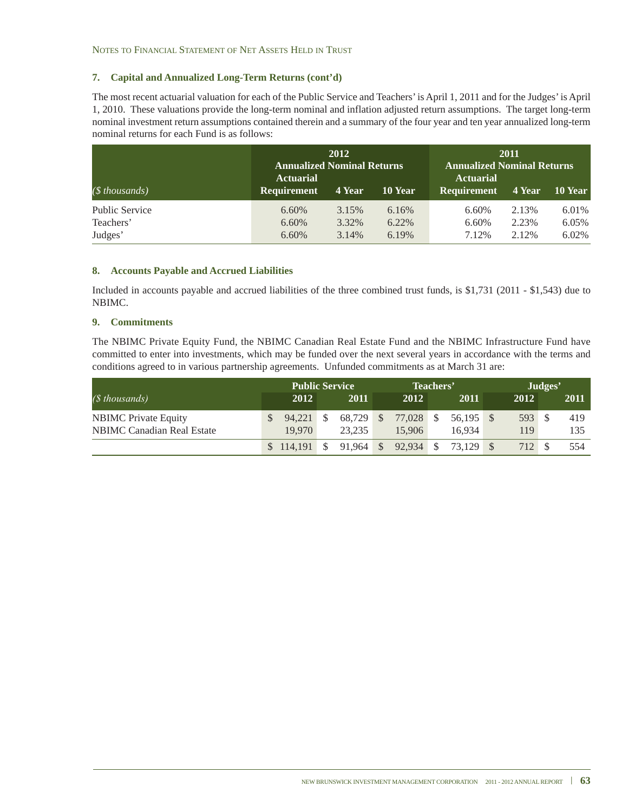#### **7. Capital and Annualized Long-Term Returns (cont'd)**

The most recent actuarial valuation for each of the Public Service and Teachers' is April 1, 2011 and for the Judges' is April 1, 2010. These valuations provide the long-term nominal and inflation adjusted return assumptions. The target long-term nominal investment return assumptions contained therein and a summary of the four year and ten year annualized long-term nominal returns for each Fund is as follows:

|                       | <b>Annualized Nominal Returns</b><br><b>Actuarial</b> | 2012   |         | <b>Actuarial</b>   | 2011<br><b>Annualized Nominal Returns</b> |         |  |  |
|-----------------------|-------------------------------------------------------|--------|---------|--------------------|-------------------------------------------|---------|--|--|
| (\$thousands)         | <b>Requirement</b>                                    | 4 Year | 10 Year | <b>Requirement</b> | <b>4 Year</b>                             | 10 Year |  |  |
| <b>Public Service</b> | 6.60%                                                 | 3.15%  | 6.16%   | 6.60%              | 2.13%                                     | 6.01%   |  |  |
| Teachers'             | 6.60%                                                 | 3.32%  | 6.22%   | 6.60%              | 2.23%                                     | 6.05%   |  |  |
| Judges'               | 6.60%                                                 | 3.14%  | 6.19%   | 7.12%              | 2.12%                                     | 6.02%   |  |  |

#### **8. Accounts Payable and Accrued Liabilities**

Included in accounts payable and accrued liabilities of the three combined trust funds, is \$1,731 (2011 - \$1,543) due to NBIMC.

#### **9. Commitments**

The NBIMC Private Equity Fund, the NBIMC Canadian Real Estate Fund and the NBIMC Infrastructure Fund have committed to enter into investments, which may be funded over the next several years in accordance with the terms and conditions agreed to in various partnership agreements. Unfunded commitments as at March 31 are:

|                                   | <b>Public Service</b> |            |    | Teachers'   |  |           |  | Judges'             |  |        |  |      |
|-----------------------------------|-----------------------|------------|----|-------------|--|-----------|--|---------------------|--|--------|--|------|
| (\$ thousands)                    |                       | 2012       |    | 2011        |  | 2012      |  | 2011                |  | 2012   |  | 2011 |
| <b>NBIMC</b> Private Equity       |                       | 94.221     | -S | 68,729 \$   |  | 77,028 \$ |  | 56.195 \$           |  | 593 \$ |  | 419  |
| <b>NBIMC</b> Canadian Real Estate |                       | 19.970     |    | 23.235      |  | 15.906    |  | 16.934              |  | 119    |  | 135  |
|                                   |                       | \$114.191S |    | $91,964$ \$ |  |           |  | 92,934 \$ 73,129 \$ |  | 712    |  | 554  |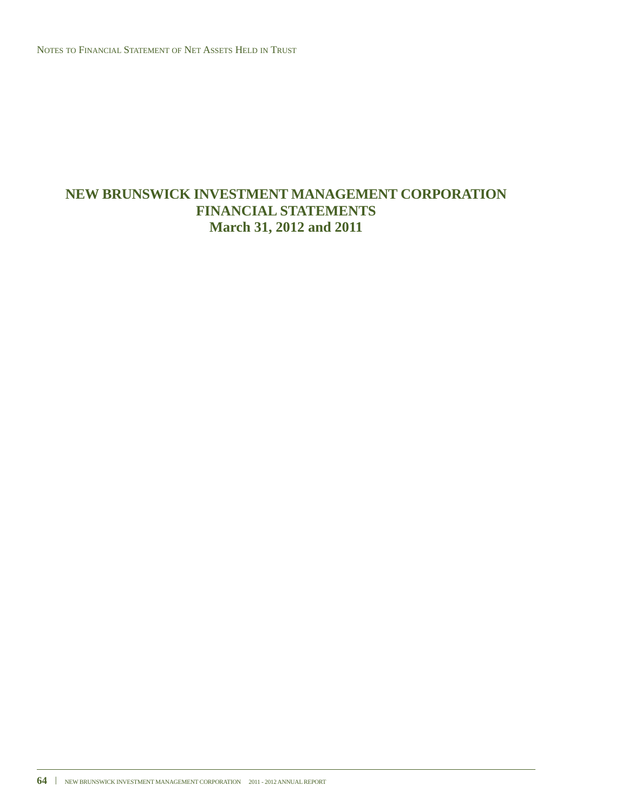NOTES TO FINANCIAL STATEMENT OF NET ASSETS HELD IN TRUST

# **NEW BRUNSWICK INVESTMENT MANAGEMENT CORPORATION FINANCIAL STATEMENTS March 31, 2012 and 2011**

**64 I** NEW BRUNSWICK INVESTMENT MANAGEMENT CORPORATION 2011 - 2012 ANNUAL REPORT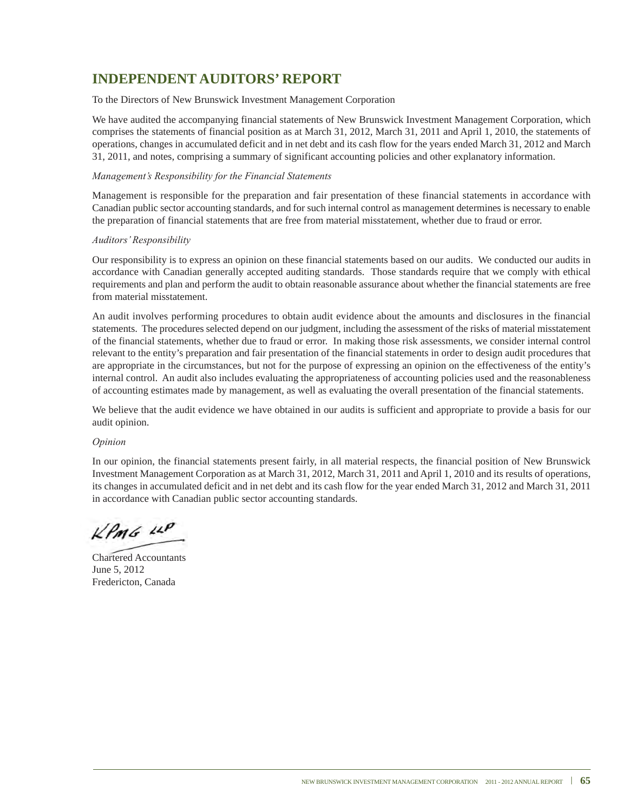# **INDEPENDENT AUDITORS' REPORT**

To the Directors of New Brunswick Investment Management Corporation

We have audited the accompanying financial statements of New Brunswick Investment Management Corporation, which comprises the statements of financial position as at March 31, 2012, March 31, 2011 and April 1, 2010, the statements of operations, changes in accumulated deficit and in net debt and its cash flow for the years ended March 31, 2012 and March 31, 2011, and notes, comprising a summary of significant accounting policies and other explanatory information.

#### *Management's Responsibility for the Financial Statements*

Management is responsible for the preparation and fair presentation of these financial statements in accordance with Canadian public sector accounting standards, and for such internal control as management determines is necessary to enable the preparation of financial statements that are free from material misstatement, whether due to fraud or error.

#### *Auditors' Responsibility*

Our responsibility is to express an opinion on these financial statements based on our audits. We conducted our audits in accordance with Canadian generally accepted auditing standards. Those standards require that we comply with ethical requirements and plan and perform the audit to obtain reasonable assurance about whether the financial statements are free from material misstatement.

An audit involves performing procedures to obtain audit evidence about the amounts and disclosures in the financial statements. The procedures selected depend on our judgment, including the assessment of the risks of material misstatement of the financial statements, whether due to fraud or error. In making those risk assessments, we consider internal control relevant to the entity's preparation and fair presentation of the financial statements in order to design audit procedures that are appropriate in the circumstances, but not for the purpose of expressing an opinion on the effectiveness of the entity's internal control. An audit also includes evaluating the appropriateness of accounting policies used and the reasonableness of accounting estimates made by management, as well as evaluating the overall presentation of the financial statements.

We believe that the audit evidence we have obtained in our audits is sufficient and appropriate to provide a basis for our audit opinion.

## *Opinion*

In our opinion, the financial statements present fairly, in all material respects, the financial position of New Brunswick Investment Management Corporation as at March 31, 2012, March 31, 2011 and April 1, 2010 and its results of operations, its changes in accumulated deficit and in net debt and its cash flow for the year ended March 31, 2012 and March 31, 2011 in accordance with Canadian public sector accounting standards.

 $kPm6$   $11P$ 

Chartered Accountants June 5, 2012 Fredericton, Canada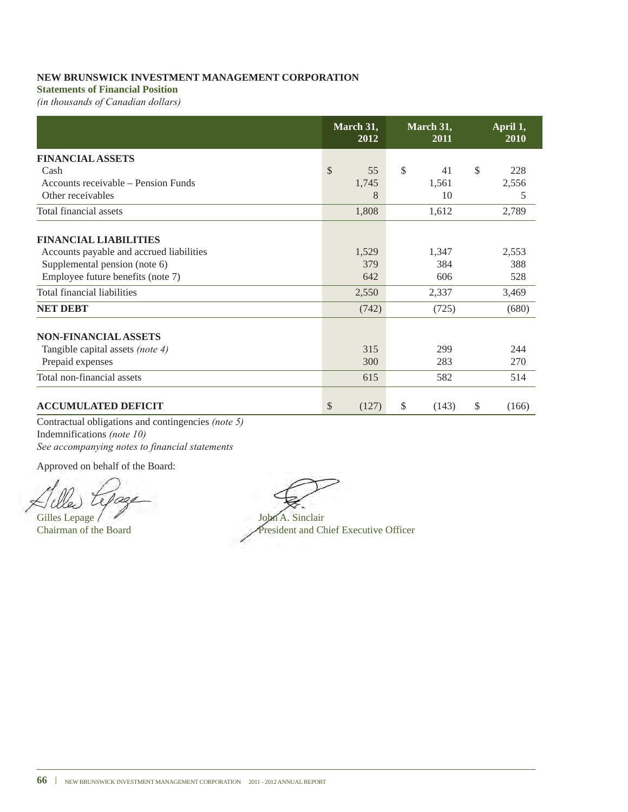## **Statements of Financial Position**

*(in thousands of Canadian dollars)*

|                                          | March 31,<br>2012   | March 31,<br>2011   | April 1,<br>2010     |
|------------------------------------------|---------------------|---------------------|----------------------|
| <b>FINANCIAL ASSETS</b>                  |                     |                     |                      |
| Cash                                     | $\mathcal{S}$<br>55 | $\mathcal{S}$<br>41 | $\mathcal{S}$<br>228 |
| Accounts receivable – Pension Funds      | 1,745               | 1,561               | 2,556                |
| Other receivables                        | 8                   | 10                  | 5                    |
| Total financial assets                   | 1,808               | 1,612               | 2,789                |
| <b>FINANCIAL LIABILITIES</b>             |                     |                     |                      |
| Accounts payable and accrued liabilities | 1,529               | 1,347               | 2,553                |
| Supplemental pension (note 6)            | 379                 | 384                 | 388                  |
| Employee future benefits (note 7)        | 642                 | 606                 | 528                  |
| Total financial liabilities              | 2,550               | 2,337               | 3,469                |
| <b>NET DEBT</b>                          | (742)               | (725)               | (680)                |
| <b>NON-FINANCIAL ASSETS</b>              |                     |                     |                      |
| Tangible capital assets (note 4)         | 315                 | 299                 | 244                  |
| Prepaid expenses                         | 300                 | 283                 | 270                  |
| Total non-financial assets               | 615                 | 582                 | 514                  |
| <b>ACCUMULATED DEFICIT</b>               | \$<br>(127)         | \$<br>(143)         | \$<br>(166)          |

Contractual obligations and contingencies *(note 5)* Indemnifications *(note 10) See accompanying notes to financial statements*

Approved on behalf of the Board:

lage  $\lambda$ 

Gilles Lepage / John A. Sinclair Chairman of the Board President and Chief Executive Officer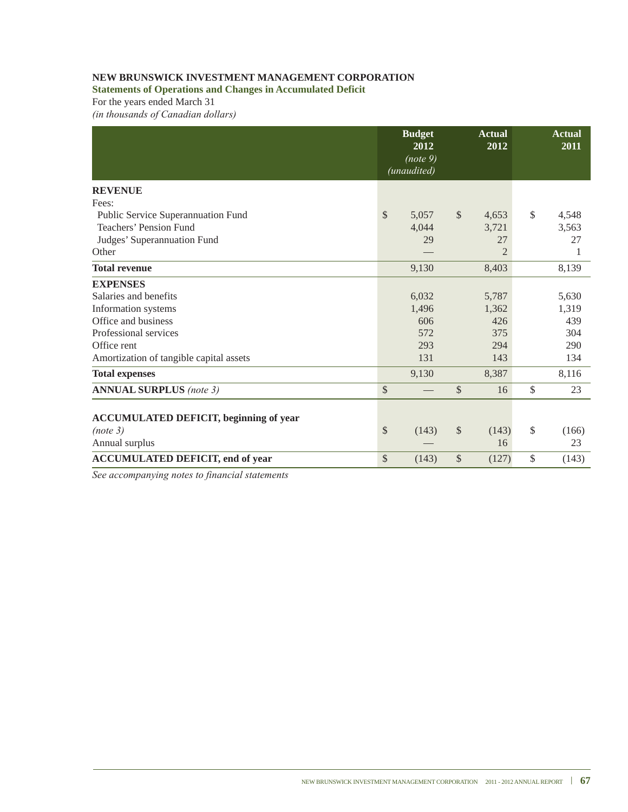**Statements of Operations and Changes in Accumulated Deficit**

For the years ended March 31

*(in thousands of Canadian dollars)*

|                                                                             | <b>Budget</b><br>2012<br>(note 9)<br>(unaudited) |               | <b>Actual</b><br>2012 |               | <b>Actual</b><br>2011 |
|-----------------------------------------------------------------------------|--------------------------------------------------|---------------|-----------------------|---------------|-----------------------|
| <b>REVENUE</b>                                                              |                                                  |               |                       |               |                       |
| Fees:                                                                       |                                                  |               |                       |               |                       |
| Public Service Superannuation Fund                                          | \$<br>5,057                                      | $\mathcal{S}$ | 4,653                 | $\mathbb{S}$  | 4,548                 |
| Teachers' Pension Fund                                                      | 4,044                                            |               | 3,721                 |               | 3,563                 |
| Judges' Superannuation Fund                                                 | 29                                               |               | 27                    |               | 27                    |
| Other                                                                       |                                                  |               | 2                     |               |                       |
| <b>Total revenue</b>                                                        | 9,130                                            |               | 8,403                 |               | 8,139                 |
| <b>EXPENSES</b>                                                             |                                                  |               |                       |               |                       |
| Salaries and benefits                                                       | 6,032                                            |               | 5,787                 |               | 5,630                 |
| Information systems                                                         | 1,496                                            |               | 1,362                 |               | 1,319                 |
| Office and business                                                         | 606                                              |               | 426                   |               | 439                   |
| Professional services                                                       | 572                                              |               | 375                   |               | 304                   |
| Office rent                                                                 | 293                                              |               | 294                   |               | 290                   |
| Amortization of tangible capital assets                                     | 131                                              |               | 143                   |               | 134                   |
| <b>Total expenses</b>                                                       | 9,130                                            |               | 8,387                 |               | 8,116                 |
| <b>ANNUAL SURPLUS</b> (note 3)                                              | \$                                               | $\mathcal{S}$ | 16                    | $\mathcal{S}$ | 23                    |
| <b>ACCUMULATED DEFICIT, beginning of year</b><br>(note 3)<br>Annual surplus | \$<br>(143)                                      | $\$\$         | (143)<br>16           | \$            | (166)<br>23           |
| <b>ACCUMULATED DEFICIT, end of year</b>                                     | \$<br>(143)                                      | $\$\$         | (127)                 | \$            | (143)                 |
| $\sim$<br>$\sim$ $\sim$<br>$\cdots$                                         |                                                  |               |                       |               |                       |

*See accompanying notes to financial statements*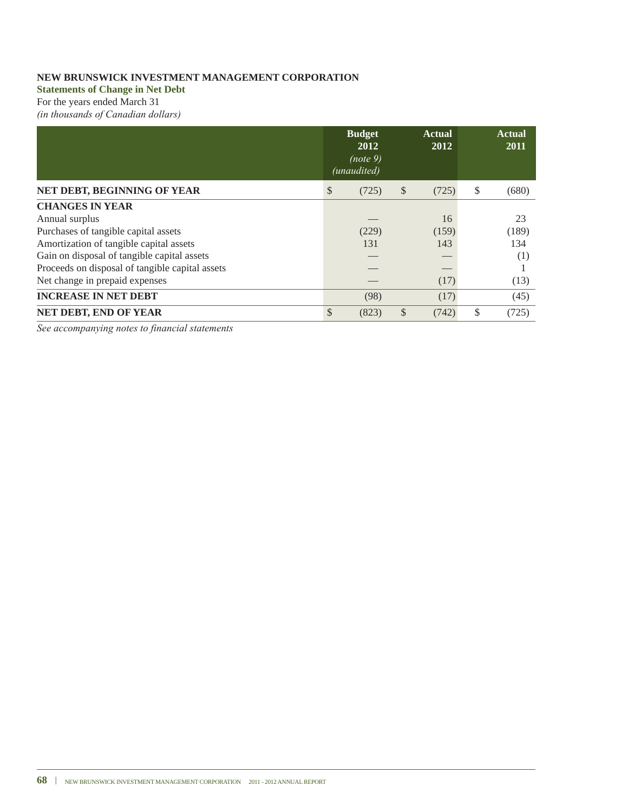**Statements of Change in Net Debt**

For the years ended March 31

*(in thousands of Canadian dollars)*

|                                                 | <b>Budget</b><br>2012<br>(note 9)<br>(unaudited) | <b>Actual</b><br>2012 | <b>Actual</b><br>2011 |
|-------------------------------------------------|--------------------------------------------------|-----------------------|-----------------------|
| NET DEBT, BEGINNING OF YEAR                     | \$<br>(725)                                      | \$<br>(725)           | \$<br>(680)           |
| <b>CHANGES IN YEAR</b>                          |                                                  |                       |                       |
| Annual surplus                                  |                                                  | 16                    | 23                    |
| Purchases of tangible capital assets            | (229)                                            | (159)                 | (189)                 |
| Amortization of tangible capital assets         | 131                                              | 143                   | 134                   |
| Gain on disposal of tangible capital assets     |                                                  |                       | (1)                   |
| Proceeds on disposal of tangible capital assets |                                                  |                       |                       |
| Net change in prepaid expenses                  |                                                  | (17)                  | (13)                  |
| <b>INCREASE IN NET DEBT</b>                     | (98)                                             | (17)                  | (45)                  |
| <b>NET DEBT, END OF YEAR</b>                    | \$<br>(823)                                      | \$<br>(742)           | \$<br>(725)           |

*See accompanying notes to financial statements*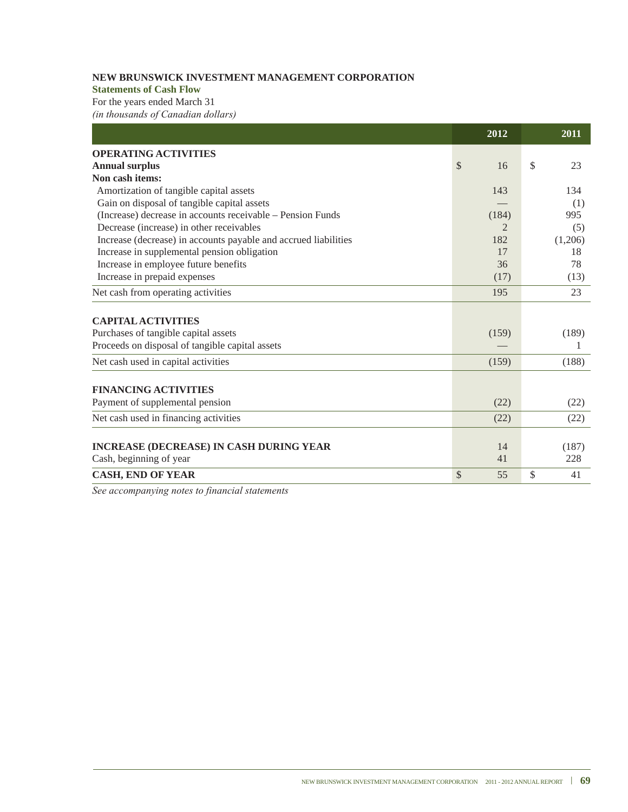#### **Statements of Cash Flow**

For the years ended March 31

*(in thousands of Canadian dollars)*

|                                                                           | 2012           | 2011         |
|---------------------------------------------------------------------------|----------------|--------------|
| <b>OPERATING ACTIVITIES</b>                                               |                |              |
| <b>Annual surplus</b>                                                     | \$<br>16       | \$<br>23     |
| Non cash items:                                                           |                |              |
| Amortization of tangible capital assets                                   | 143            | 134          |
| Gain on disposal of tangible capital assets                               |                | (1)          |
| (Increase) decrease in accounts receivable – Pension Funds                | (184)          | 995          |
| Decrease (increase) in other receivables                                  | $\mathfrak{D}$ | (5)          |
| Increase (decrease) in accounts payable and accrued liabilities           | 182            | (1,206)      |
| Increase in supplemental pension obligation                               | 17             | 18           |
| Increase in employee future benefits                                      | 36             | 78           |
| Increase in prepaid expenses                                              | (17)           | (13)         |
| Net cash from operating activities                                        | 195            | 23           |
| <b>CAPITAL ACTIVITIES</b>                                                 |                |              |
| Purchases of tangible capital assets                                      | (159)          | (189)        |
| Proceeds on disposal of tangible capital assets                           |                | 1            |
| Net cash used in capital activities                                       | (159)          | (188)        |
| <b>FINANCING ACTIVITIES</b>                                               |                |              |
| Payment of supplemental pension                                           | (22)           | (22)         |
| Net cash used in financing activities                                     | (22)           | (22)         |
|                                                                           |                |              |
| <b>INCREASE (DECREASE) IN CASH DURING YEAR</b><br>Cash, beginning of year | 14<br>41       | (187)<br>228 |
| <b>CASH, END OF YEAR</b>                                                  | \$<br>55       | \$<br>41     |

*See accompanying notes to financial statements*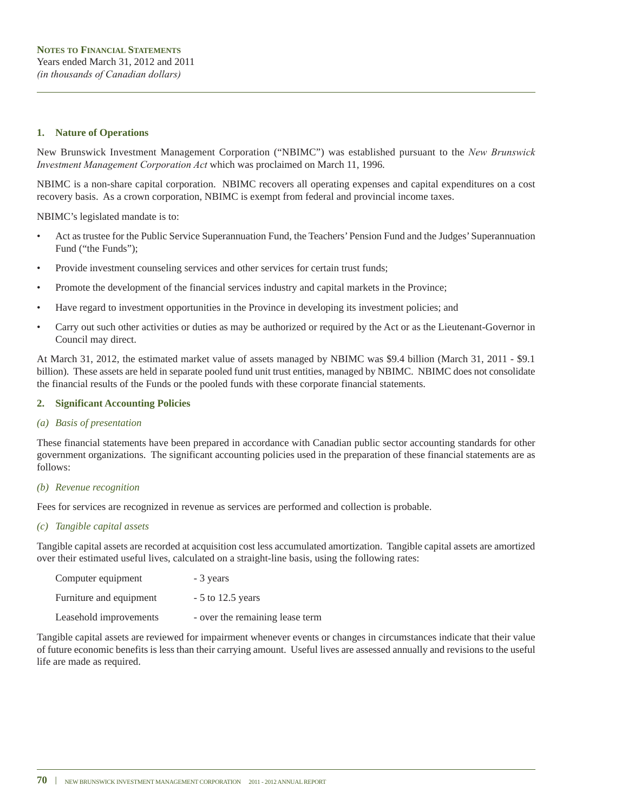#### **1. Nature of Operations**

New Brunswick Investment Management Corporation ("NBIMC") was established pursuant to the *New Brunswick Investment Management Corporation Act* which was proclaimed on March 11, 1996.

NBIMC is a non-share capital corporation. NBIMC recovers all operating expenses and capital expenditures on a cost recovery basis. As a crown corporation, NBIMC is exempt from federal and provincial income taxes.

NBIMC's legislated mandate is to:

- Act as trustee for the Public Service Superannuation Fund, the Teachers' Pension Fund and the Judges' Superannuation Fund ("the Funds");
- Provide investment counseling services and other services for certain trust funds;
- Promote the development of the financial services industry and capital markets in the Province;
- Have regard to investment opportunities in the Province in developing its investment policies; and
- Carry out such other activities or duties as may be authorized or required by the Act or as the Lieutenant-Governor in Council may direct.

At March 31, 2012, the estimated market value of assets managed by NBIMC was \$9.4 billion (March 31, 2011 - \$9.1 billion). These assets are held in separate pooled fund unit trust entities, managed by NBIMC. NBIMC does not consolidate the financial results of the Funds or the pooled funds with these corporate financial statements.

### **2. Significant Accounting Policies**

#### *(a) Basis of presentation*

These financial statements have been prepared in accordance with Canadian public sector accounting standards for other government organizations. The significant accounting policies used in the preparation of these financial statements are as follows:

#### *(b) Revenue recognition*

Fees for services are recognized in revenue as services are performed and collection is probable.

## *(c) Tangible capital assets*

Tangible capital assets are recorded at acquisition cost less accumulated amortization. Tangible capital assets are amortized over their estimated useful lives, calculated on a straight-line basis, using the following rates:

| Computer equipment      | - 3 years                       |
|-------------------------|---------------------------------|
| Furniture and equipment | $-5$ to 12.5 years              |
| Leasehold improvements  | - over the remaining lease term |

Tangible capital assets are reviewed for impairment whenever events or changes in circumstances indicate that their value of future economic benefits is less than their carrying amount. Useful lives are assessed annually and revisions to the useful life are made as required.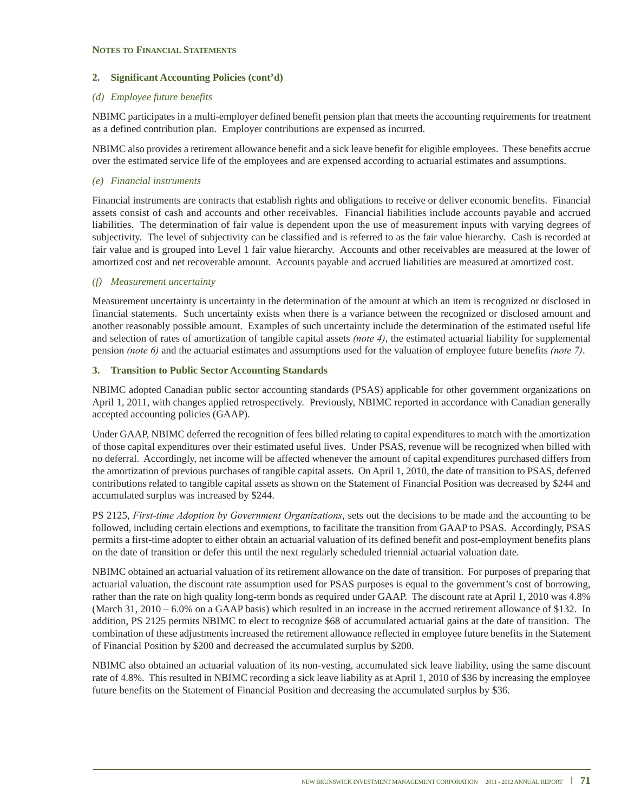#### **2. Significant Accounting Policies (cont'd)**

#### *(d) Employee future benefits*

NBIMC participates in a multi-employer defined benefit pension plan that meets the accounting requirements for treatment as a defined contribution plan. Employer contributions are expensed as incurred.

NBIMC also provides a retirement allowance benefit and a sick leave benefit for eligible employees. These benefits accrue over the estimated service life of the employees and are expensed according to actuarial estimates and assumptions.

#### *(e) Financial instruments*

Financial instruments are contracts that establish rights and obligations to receive or deliver economic benefits. Financial assets consist of cash and accounts and other receivables. Financial liabilities include accounts payable and accrued liabilities. The determination of fair value is dependent upon the use of measurement inputs with varying degrees of subjectivity. The level of subjectivity can be classified and is referred to as the fair value hierarchy. Cash is recorded at fair value and is grouped into Level 1 fair value hierarchy. Accounts and other receivables are measured at the lower of amortized cost and net recoverable amount. Accounts payable and accrued liabilities are measured at amortized cost.

#### *(f) Measurement uncertainty*

Measurement uncertainty is uncertainty in the determination of the amount at which an item is recognized or disclosed in financial statements. Such uncertainty exists when there is a variance between the recognized or disclosed amount and another reasonably possible amount. Examples of such uncertainty include the determination of the estimated useful life and selection of rates of amortization of tangible capital assets *(note 4)*, the estimated actuarial liability for supplemental pension *(note 6)* and the actuarial estimates and assumptions used for the valuation of employee future benefits *(note 7)*.

#### **3. Transition to Public Sector Accounting Standards**

NBIMC adopted Canadian public sector accounting standards (PSAS) applicable for other government organizations on April 1, 2011, with changes applied retrospectively. Previously, NBIMC reported in accordance with Canadian generally accepted accounting policies (GAAP).

Under GAAP, NBIMC deferred the recognition of fees billed relating to capital expenditures to match with the amortization of those capital expenditures over their estimated useful lives. Under PSAS, revenue will be recognized when billed with no deferral. Accordingly, net income will be affected whenever the amount of capital expenditures purchased differs from the amortization of previous purchases of tangible capital assets. On April 1, 2010, the date of transition to PSAS, deferred contributions related to tangible capital assets as shown on the Statement of Financial Position was decreased by \$244 and accumulated surplus was increased by \$244.

PS 2125, *First-time Adoption by Government Organizations*, sets out the decisions to be made and the accounting to be followed, including certain elections and exemptions, to facilitate the transition from GAAP to PSAS. Accordingly, PSAS permits a first-time adopter to either obtain an actuarial valuation of its defined benefit and post-employment benefits plans on the date of transition or defer this until the next regularly scheduled triennial actuarial valuation date.

NBIMC obtained an actuarial valuation of its retirement allowance on the date of transition. For purposes of preparing that actuarial valuation, the discount rate assumption used for PSAS purposes is equal to the government's cost of borrowing, rather than the rate on high quality long-term bonds as required under GAAP. The discount rate at April 1, 2010 was 4.8% (March 31, 2010 – 6.0% on a GAAP basis) which resulted in an increase in the accrued retirement allowance of \$132. In addition, PS 2125 permits NBIMC to elect to recognize \$68 of accumulated actuarial gains at the date of transition. The combination of these adjustments increased the retirement allowance reflected in employee future benefits in the Statement of Financial Position by \$200 and decreased the accumulated surplus by \$200.

NBIMC also obtained an actuarial valuation of its non-vesting, accumulated sick leave liability, using the same discount rate of 4.8%. This resulted in NBIMC recording a sick leave liability as at April 1, 2010 of \$36 by increasing the employee future benefits on the Statement of Financial Position and decreasing the accumulated surplus by \$36.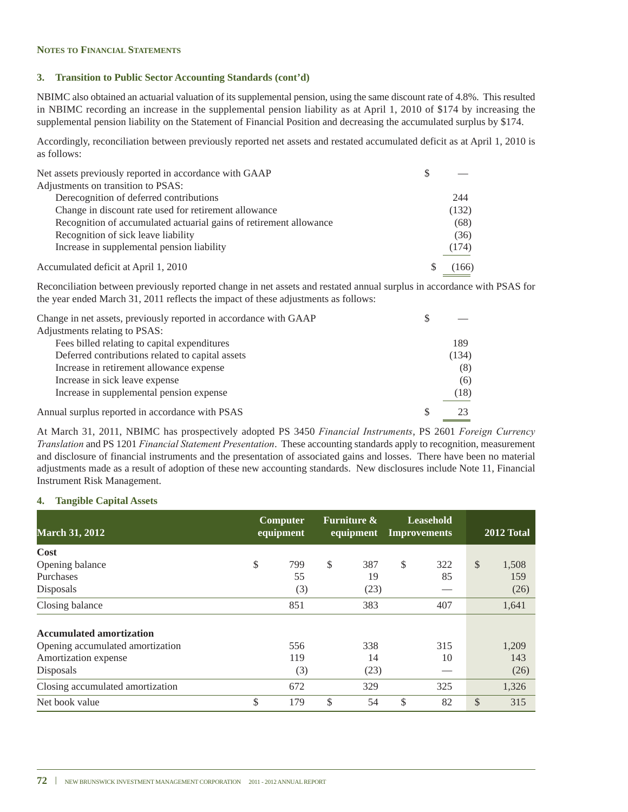#### **3. Transition to Public Sector Accounting Standards (cont'd)**

NBIMC also obtained an actuarial valuation of its supplemental pension, using the same discount rate of 4.8%. This resulted in NBIMC recording an increase in the supplemental pension liability as at April 1, 2010 of \$174 by increasing the supplemental pension liability on the Statement of Financial Position and decreasing the accumulated surplus by \$174.

Accordingly, reconciliation between previously reported net assets and restated accumulated deficit as at April 1, 2010 is as follows:

| Net assets previously reported in accordance with GAAP             |       |
|--------------------------------------------------------------------|-------|
| Adjustments on transition to PSAS:                                 |       |
| Derecognition of deferred contributions                            | 244   |
| Change in discount rate used for retirement allowance              | (132) |
| Recognition of accumulated actuarial gains of retirement allowance | (68)  |
| Recognition of sick leave liability                                | (36)  |
| Increase in supplemental pension liability                         | (174) |
| Accumulated deficit at April 1, 2010                               | (166) |

Reconciliation between previously reported change in net assets and restated annual surplus in accordance with PSAS for the year ended March 31, 2011 reflects the impact of these adjustments as follows:

| Change in net assets, previously reported in accordance with GAAP |       |
|-------------------------------------------------------------------|-------|
| Adjustments relating to PSAS:                                     |       |
| Fees billed relating to capital expenditures                      | 189   |
| Deferred contributions related to capital assets                  | (134) |
| Increase in retirement allowance expense                          | (8)   |
| Increase in sick leave expense                                    | (6)   |
| Increase in supplemental pension expense                          | (18)  |
| Annual surplus reported in accordance with PSAS                   |       |

At March 31, 2011, NBIMC has prospectively adopted PS 3450 *Financial Instruments*, PS 2601 *Foreign Currency Translation* and PS 1201 *Financial Statement Presentation*. These accounting standards apply to recognition, measurement and disclosure of financial instruments and the presentation of associated gains and losses. There have been no material adjustments made as a result of adoption of these new accounting standards. New disclosures include Note 11, Financial Instrument Risk Management.

#### **4. Tangible Capital Assets**

| <b>March 31, 2012</b>            | <b>Computer</b><br>equipment |    | <b>Furniture &amp;</b><br>equipment |    | <b>Leasehold</b><br>Improvements | 2012 Total    |       |
|----------------------------------|------------------------------|----|-------------------------------------|----|----------------------------------|---------------|-------|
| Cost                             |                              |    |                                     |    |                                  |               |       |
| Opening balance                  | \$<br>799                    | \$ | 387                                 | \$ | 322                              | \$            | 1,508 |
| Purchases                        | 55                           |    | 19                                  |    | 85                               |               | 159   |
| Disposals                        | (3)                          |    | (23)                                |    |                                  |               | (26)  |
| Closing balance                  | 851                          |    | 383                                 |    | 407                              |               | 1,641 |
| <b>Accumulated amortization</b>  |                              |    |                                     |    |                                  |               |       |
| Opening accumulated amortization | 556                          |    | 338                                 |    | 315                              |               | 1,209 |
| Amortization expense             | 119                          |    | 14                                  |    | 10                               |               | 143   |
| Disposals                        | (3)                          |    | (23)                                |    |                                  |               | (26)  |
| Closing accumulated amortization | 672                          |    | 329                                 |    | 325                              |               | 1,326 |
| Net book value                   | \$<br>179                    | \$ | 54                                  | \$ | 82                               | $\mathcal{S}$ | 315   |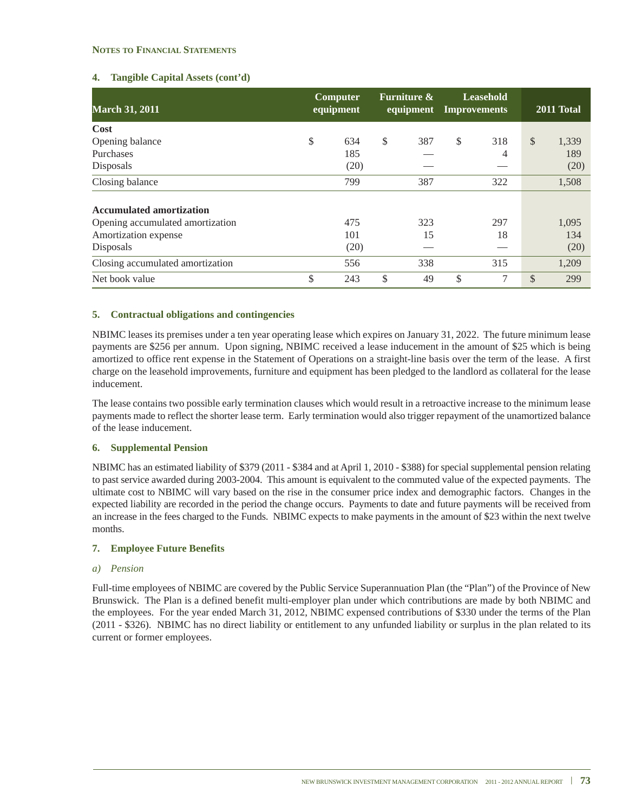### **4. Tangible Capital Assets (cont'd)**

| <b>March 31, 2011</b>            | Computer<br>equipment | <b>Furniture &amp;</b><br><b>Leasehold</b><br>equipment Improvements |    |     | 2011 Total    |       |
|----------------------------------|-----------------------|----------------------------------------------------------------------|----|-----|---------------|-------|
| Cost                             |                       |                                                                      |    |     |               |       |
| Opening balance                  | \$<br>634             | \$<br>387                                                            | \$ | 318 | $\mathcal{S}$ | 1,339 |
| Purchases                        | 185                   |                                                                      |    | 4   |               | 189   |
| Disposals                        | (20)                  |                                                                      |    |     |               | (20)  |
| Closing balance                  | 799                   | 387                                                                  |    | 322 |               | 1,508 |
| <b>Accumulated amortization</b>  |                       |                                                                      |    |     |               |       |
| Opening accumulated amortization | 475                   | 323                                                                  |    | 297 |               | 1,095 |
| Amortization expense             | 101                   | 15                                                                   |    | 18  |               | 134   |
| Disposals                        | (20)                  |                                                                      |    |     |               | (20)  |
| Closing accumulated amortization | 556                   | 338                                                                  |    | 315 |               | 1,209 |
| Net book value                   | \$<br>243             | \$<br>49                                                             | \$ | 7   | \$            | 299   |

#### **5. Contractual obligations and contingencies**

NBIMC leases its premises under a ten year operating lease which expires on January 31, 2022. The future minimum lease payments are \$256 per annum. Upon signing, NBIMC received a lease inducement in the amount of \$25 which is being amortized to office rent expense in the Statement of Operations on a straight-line basis over the term of the lease. A first charge on the leasehold improvements, furniture and equipment has been pledged to the landlord as collateral for the lease inducement.

The lease contains two possible early termination clauses which would result in a retroactive increase to the minimum lease payments made to reflect the shorter lease term. Early termination would also trigger repayment of the unamortized balance of the lease inducement.

## **6. Supplemental Pension**

NBIMC has an estimated liability of \$379 (2011 - \$384 and at April 1, 2010 - \$388) for special supplemental pension relating to past service awarded during 2003-2004. This amount is equivalent to the commuted value of the expected payments. The ultimate cost to NBIMC will vary based on the rise in the consumer price index and demographic factors. Changes in the expected liability are recorded in the period the change occurs. Payments to date and future payments will be received from an increase in the fees charged to the Funds. NBIMC expects to make payments in the amount of \$23 within the next twelve months.

#### **7. Employee Future Benefits**

#### *a) Pension*

Full-time employees of NBIMC are covered by the Public Service Superannuation Plan (the "Plan") of the Province of New Brunswick. The Plan is a defined benefit multi-employer plan under which contributions are made by both NBIMC and the employees. For the year ended March 31, 2012, NBIMC expensed contributions of \$330 under the terms of the Plan (2011 - \$326). NBIMC has no direct liability or entitlement to any unfunded liability or surplus in the plan related to its current or former employees.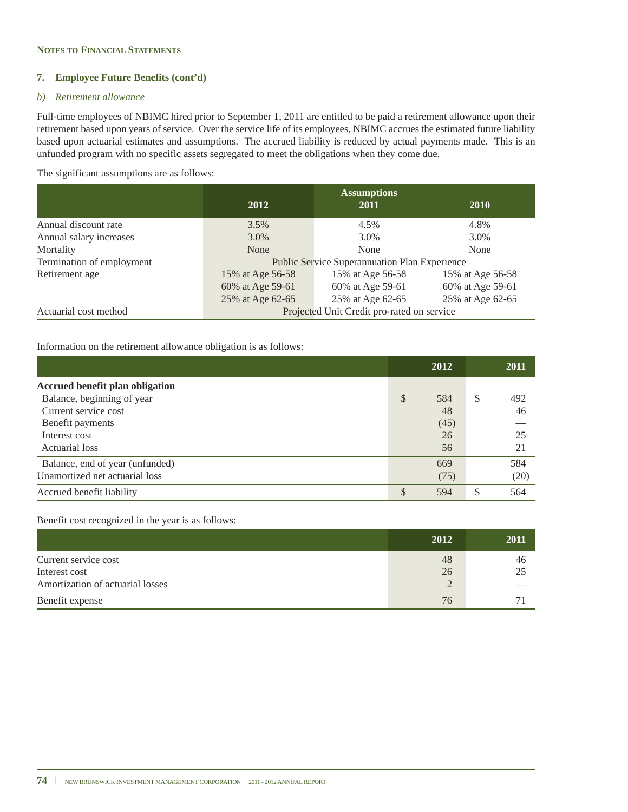## **7. Employee Future Benefits (cont'd)**

#### *b) Retirement allowance*

Full-time employees of NBIMC hired prior to September 1, 2011 are entitled to be paid a retirement allowance upon their retirement based upon years of service. Over the service life of its employees, NBIMC accrues the estimated future liability based upon actuarial estimates and assumptions. The accrued liability is reduced by actual payments made. This is an unfunded program with no specific assets segregated to meet the obligations when they come due.

The significant assumptions are as follows:

|                           | 2012             | <b>Assumptions</b><br><b>2011</b>             | <b>2010</b>      |
|---------------------------|------------------|-----------------------------------------------|------------------|
| Annual discount rate      | 3.5%             | 4.5%                                          | 4.8%             |
| Annual salary increases   | 3.0%             | 3.0%                                          | 3.0%             |
| Mortality                 | None             | None                                          | None             |
| Termination of employment |                  | Public Service Superannuation Plan Experience |                  |
| Retirement age            | 15% at Age 56-58 | 15% at Age 56-58                              | 15% at Age 56-58 |
|                           | 60% at Age 59-61 | 60% at Age 59-61                              | 60% at Age 59-61 |
|                           | 25% at Age 62-65 | 25% at Age 62-65                              | 25% at Age 62-65 |
| Actuarial cost method     |                  | Projected Unit Credit pro-rated on service    |                  |

Information on the retirement allowance obligation is as follows:

|                                        | 2012      | 2011      |
|----------------------------------------|-----------|-----------|
| <b>Accrued benefit plan obligation</b> |           |           |
| Balance, beginning of year             | \$<br>584 | \$<br>492 |
| Current service cost                   | 48        | 46        |
| Benefit payments                       | (45)      |           |
| Interest cost                          | 26        | 25        |
| Actuarial loss                         | 56        | 21        |
| Balance, end of year (unfunded)        | 669       | 584       |
| Unamortized net actuarial loss         | (75)      | (20)      |
| Accrued benefit liability              | \$<br>594 | \$<br>564 |

Benefit cost recognized in the year is as follows:

|                                  | 2012               | 2011 |
|----------------------------------|--------------------|------|
| Current service cost             | 48                 | 46   |
| Interest cost                    | 26                 |      |
| Amortization of actuarial losses | $\mathcal{D}$<br>∠ |      |
| Benefit expense                  | 76                 |      |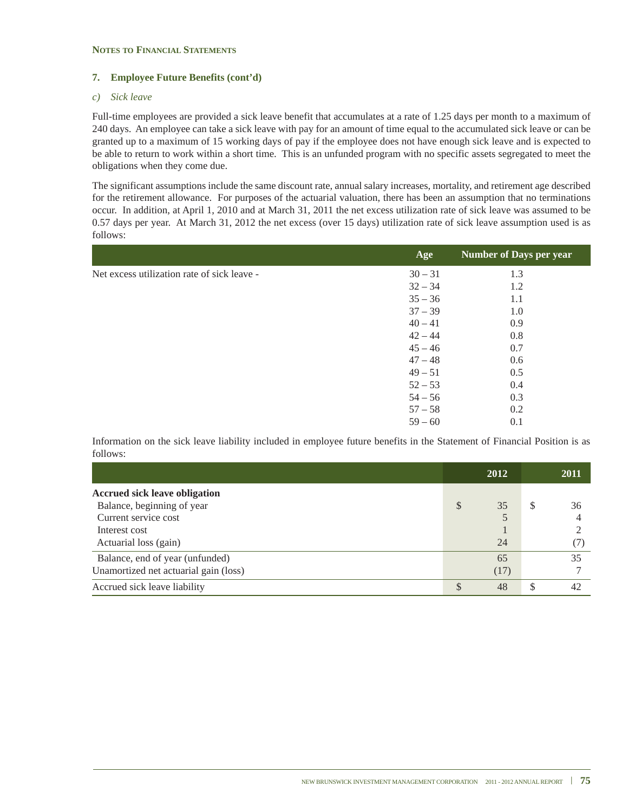#### **7. Employee Future Benefits (cont'd)**

#### *c) Sick leave*

Full-time employees are provided a sick leave benefit that accumulates at a rate of 1.25 days per month to a maximum of 240 days. An employee can take a sick leave with pay for an amount of time equal to the accumulated sick leave or can be granted up to a maximum of 15 working days of pay if the employee does not have enough sick leave and is expected to be able to return to work within a short time. This is an unfunded program with no specific assets segregated to meet the obligations when they come due.

The significant assumptions include the same discount rate, annual salary increases, mortality, and retirement age described for the retirement allowance. For purposes of the actuarial valuation, there has been an assumption that no terminations occur. In addition, at April 1, 2010 and at March 31, 2011 the net excess utilization rate of sick leave was assumed to be 0.57 days per year. At March 31, 2012 the net excess (over 15 days) utilization rate of sick leave assumption used is as follows:

|                                             | Age       | <b>Number of Days per year</b> |
|---------------------------------------------|-----------|--------------------------------|
| Net excess utilization rate of sick leave - | $30 - 31$ | 1.3                            |
|                                             | $32 - 34$ | 1.2                            |
|                                             | $35 - 36$ | 1.1                            |
|                                             | $37 - 39$ | 1.0                            |
|                                             | $40 - 41$ | 0.9                            |
|                                             | $42 - 44$ | 0.8                            |
|                                             | $45 - 46$ | 0.7                            |
|                                             | $47 - 48$ | 0.6                            |
|                                             | $49 - 51$ | 0.5                            |
|                                             | $52 - 53$ | 0.4                            |
|                                             | $54 - 56$ | 0.3                            |
|                                             | $57 - 58$ | 0.2                            |
|                                             | $59 - 60$ | 0.1                            |

Information on the sick leave liability included in employee future benefits in the Statement of Financial Position is as follows:

|                                       |   | 2012 |   | 2011 |
|---------------------------------------|---|------|---|------|
| <b>Accrued sick leave obligation</b>  |   |      |   |      |
| Balance, beginning of year            | S | 35   | S | 36   |
| Current service cost                  |   | 5    |   |      |
| Interest cost                         |   |      |   |      |
| Actuarial loss (gain)                 |   | 24   |   |      |
| Balance, end of year (unfunded)       |   | 65   |   | 35   |
| Unamortized net actuarial gain (loss) |   | (17) |   |      |
| Accrued sick leave liability          |   | 48   | S | 42   |